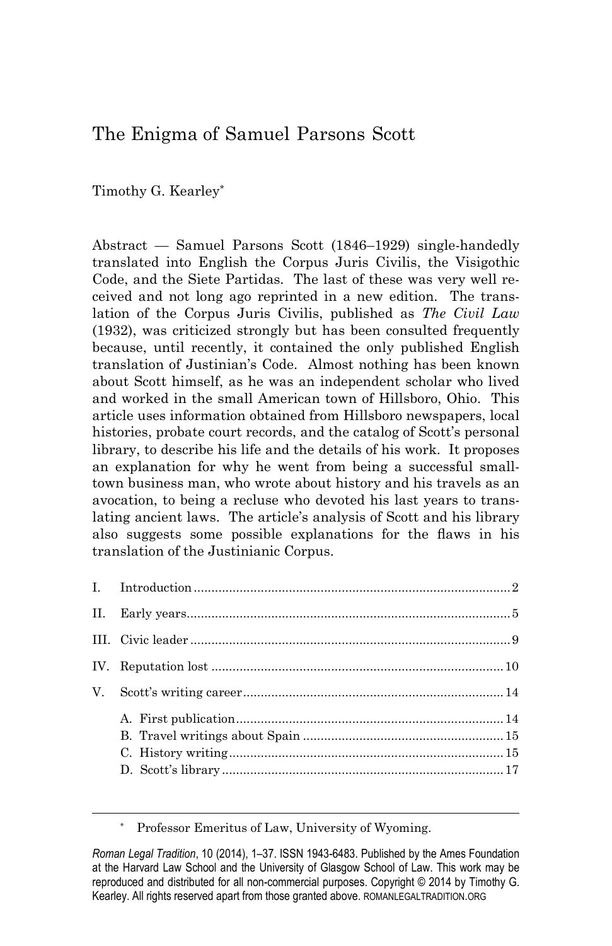# The Enigma of Samuel Parsons Scott

Timothy G. Kearley\*

Abstract — Samuel Parsons Scott (1846–1929) single-handedly translated into English the Corpus Juris Civilis, the Visigothic Code, and the Siete Partidas. The last of these was very well received and not long ago reprinted in a new edition. The translation of the Corpus Juris Civilis, published as *The Civil Law* (1932), was criticized strongly but has been consulted frequently because, until recently, it contained the only published English translation of Justinian's Code. Almost nothing has been known about Scott himself, as he was an independent scholar who lived and worked in the small American town of Hillsboro, Ohio. This article uses information obtained from Hillsboro newspapers, local histories, probate court records, and the catalog of Scott's personal library, to describe his life and the details of his work. It proposes an explanation for why he went from being a successful smalltown business man, who wrote about history and his travels as an avocation, to being a recluse who devoted his last years to translating ancient laws. The article's analysis of Scott and his library also suggests some possible explanations for the flaws in his translation of the Justinianic Corpus.

\* Professor Emeritus of Law, University of Wyoming.

*Roman Legal Tradition*, 10 (2014), 1–37. ISSN 1943-6483. Published by the Ames Foundation at the Harvard Law School and the University of Glasgow School of Law. This work may be reproduced and distributed for all non-commercial purposes. Copyright © 2014 by Timothy G. Kearley. All rights reserved apart from those granted above. ROMANLEGALTRADITION.ORG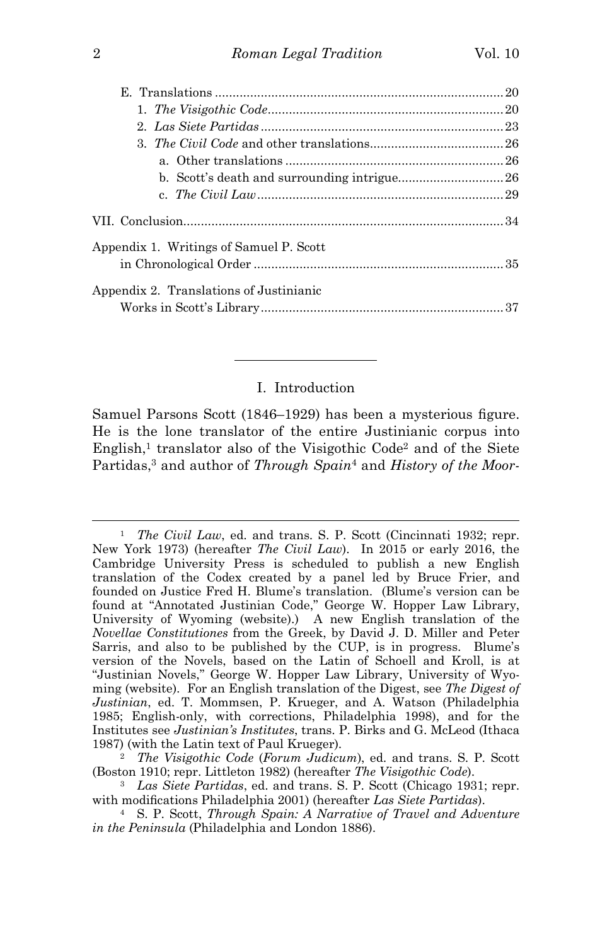| Appendix 1. Writings of Samuel P. Scott |  |
|-----------------------------------------|--|
|                                         |  |
| Appendix 2. Translations of Justinianic |  |
|                                         |  |

# I. Introduction

Samuel Parsons Scott (1846–1929) has been a mysterious figure. He is the lone translator of the entire Justinianic corpus into English,<sup>1</sup> translator also of the Visigothic Code<sup>2</sup> and of the Siete Partidas,<sup>3</sup> and author of *Through Spain*<sup>4</sup> and *History of the Moor-*

<sup>1</sup> *The Civil Law*, ed. and trans. S. P. Scott (Cincinnati 1932; repr. New York 1973) (hereafter *The Civil Law*). In 2015 or early 2016, the Cambridge University Press is scheduled to publish a new English translation of the Codex created by a panel led by Bruce Frier, and founded on Justice Fred H. Blume's translation. (Blume's version can be found at "Annotated Justinian Code," George W. Hopper Law Library, University of Wyoming (website).) A new English translation of the *Novellae Constitutiones* from the Greek, by David J. D. Miller and Peter Sarris, and also to be published by the CUP, is in progress. Blume's version of the Novels, based on the Latin of Schoell and Kroll, is at "Justinian Novels," George W. Hopper Law Library, University of Wyoming (website). For an English translation of the Digest, see *The Digest of Justinian*, ed. T. Mommsen, P. Krueger, and A. Watson (Philadelphia 1985; English-only, with corrections, Philadelphia 1998), and for the Institutes see *Justinian's Institutes*, trans. P. Birks and G. McLeod (Ithaca 1987) (with the Latin text of Paul Krueger).

<sup>2</sup> *The Visigothic Code* (*Forum Judicum*), ed. and trans. S. P. Scott (Boston 1910; repr. Littleton 1982) (hereafter *The Visigothic Code*).

<sup>3</sup> *Las Siete Partidas*, ed. and trans. S. P. Scott (Chicago 1931; repr. with modifications Philadelphia 2001) (hereafter *Las Siete Partidas*).

<sup>4</sup> S. P. Scott, *Through Spain: A Narrative of Travel and Adventure in the Peninsula* (Philadelphia and London 1886).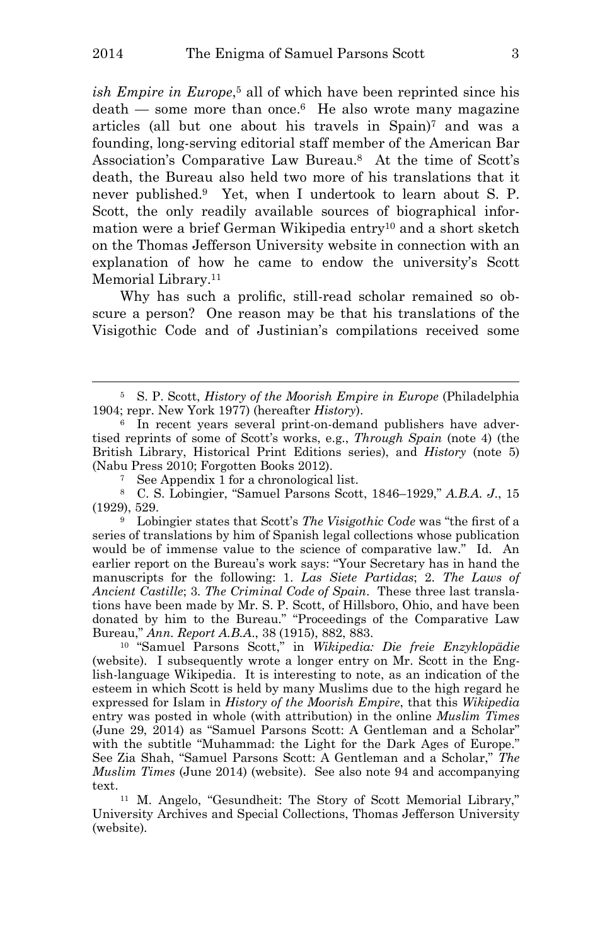ish *Empire in Europe*,<sup>5</sup> all of which have been reprinted since his death — some more than once.<sup>6</sup> He also wrote many magazine articles (all but one about his travels in Spain)<sup>7</sup> and was a founding, long-serving editorial staff member of the American Bar Association's Comparative Law Bureau.<sup>8</sup> At the time of Scott's death, the Bureau also held two more of his translations that it never published.<sup>9</sup> Yet, when I undertook to learn about S. P. Scott, the only readily available sources of biographical information were a brief German Wikipedia entry<sup>10</sup> and a short sketch on the Thomas Jefferson University website in connection with an explanation of how he came to endow the university's Scott Memorial Library.<sup>11</sup>

Why has such a prolific, still-read scholar remained so obscure a person? One reason may be that his translations of the Visigothic Code and of Justinian's compilations received some

<sup>9</sup> Lobingier states that Scott's *The Visigothic Code* was "the first of a series of translations by him of Spanish legal collections whose publication would be of immense value to the science of comparative law." Id. An earlier report on the Bureau's work says: "Your Secretary has in hand the manuscripts for the following: 1. *Las Siete Partidas*; 2. *The Laws of Ancient Castille*; 3. *The Criminal Code of Spain*. These three last translations have been made by Mr. S. P. Scott, of Hillsboro, Ohio, and have been donated by him to the Bureau." "Proceedings of the Comparative Law Bureau," *Ann. Report A.B.A*., 38 (1915), 882, 883.

<sup>10</sup> "Samuel Parsons Scott," in *Wikipedia: Die freie Enzyklopädie* (website). I subsequently wrote a longer entry on Mr. Scott in the English-language Wikipedia. It is interesting to note, as an indication of the esteem in which Scott is held by many Muslims due to the high regard he expressed for Islam in *History of the Moorish Empire*, that this *Wikipedia* entry was posted in whole (with attribution) in the online *Muslim Times* (June 29, 2014) as "Samuel Parsons Scott: A Gentleman and a Scholar" with the subtitle "Muhammad: the Light for the Dark Ages of Europe." See Zia Shah, "Samuel Parsons Scott: A Gentleman and a Scholar," *The Muslim Times* (June 2014) (website). See also note 94 and accompanying text.

<sup>11</sup> M. Angelo, "Gesundheit: The Story of Scott Memorial Library," University Archives and Special Collections, Thomas Jefferson University (website).

<sup>5</sup> S. P. Scott, *History of the Moorish Empire in Europe* (Philadelphia 1904; repr. New York 1977) (hereafter *History*).

<sup>6</sup> In recent years several print-on-demand publishers have advertised reprints of some of Scott's works, e.g., *Through Spain* (note 4) (the British Library, Historical Print Editions series), and *History* (note 5) (Nabu Press 2010; Forgotten Books 2012).

<sup>7</sup> See Appendix 1 for a chronological list.

<sup>8</sup> C. S. Lobingier, "Samuel Parsons Scott, 1846–1929," *A.B.A. J*., 15 (1929), 529.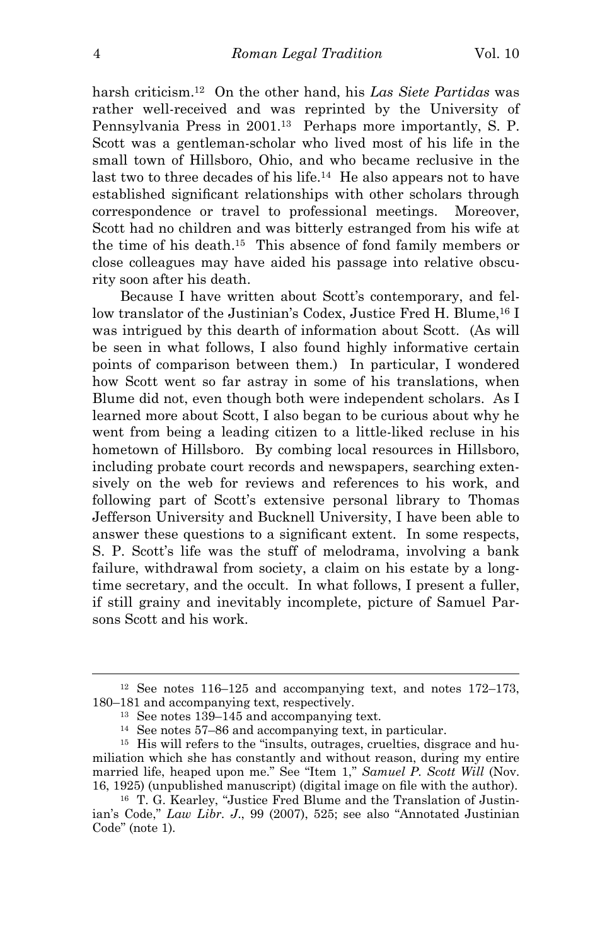harsh criticism.<sup>12</sup> On the other hand, his *Las Siete Partidas* was rather well-received and was reprinted by the University of Pennsylvania Press in 2001.<sup>13</sup> Perhaps more importantly, S. P. Scott was a gentleman-scholar who lived most of his life in the small town of Hillsboro, Ohio, and who became reclusive in the last two to three decades of his life.<sup>14</sup> He also appears not to have established significant relationships with other scholars through correspondence or travel to professional meetings. Moreover, Scott had no children and was bitterly estranged from his wife at the time of his death.<sup>15</sup> This absence of fond family members or close colleagues may have aided his passage into relative obscurity soon after his death.

Because I have written about Scott's contemporary, and fellow translator of the Justinian's Codex, Justice Fred H. Blume,<sup>16</sup> I was intrigued by this dearth of information about Scott. (As will be seen in what follows, I also found highly informative certain points of comparison between them.) In particular, I wondered how Scott went so far astray in some of his translations, when Blume did not, even though both were independent scholars. As I learned more about Scott, I also began to be curious about why he went from being a leading citizen to a little-liked recluse in his hometown of Hillsboro. By combing local resources in Hillsboro, including probate court records and newspapers, searching extensively on the web for reviews and references to his work, and following part of Scott's extensive personal library to Thomas Jefferson University and Bucknell University, I have been able to answer these questions to a significant extent. In some respects, S. P. Scott's life was the stuff of melodrama, involving a bank failure, withdrawal from society, a claim on his estate by a longtime secretary, and the occult. In what follows, I present a fuller, if still grainy and inevitably incomplete, picture of Samuel Parsons Scott and his work.

<sup>12</sup> See notes 116–125 and accompanying text, and notes 172–173, 180–181 and accompanying text, respectively.

<sup>13</sup> See notes 139–145 and accompanying text.

<sup>14</sup> See notes 57–86 and accompanying text, in particular.

<sup>15</sup> His will refers to the "insults, outrages, cruelties, disgrace and humiliation which she has constantly and without reason, during my entire married life, heaped upon me." See "Item 1," *Samuel P. Scott Will* (Nov. 16, 1925) (unpublished manuscript) (digital image on file with the author).

<sup>16</sup> T. G. Kearley, "Justice Fred Blume and the Translation of Justinian's Code," *Law Libr. J*., 99 (2007), 525; see also "Annotated Justinian Code" (note 1).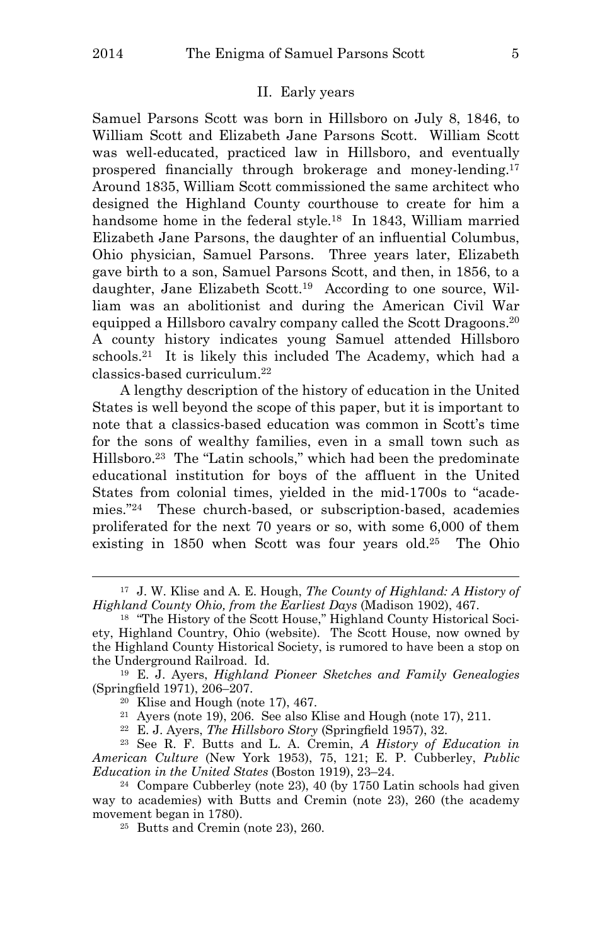i<br>L

#### II. Early years

Samuel Parsons Scott was born in Hillsboro on July 8, 1846, to William Scott and Elizabeth Jane Parsons Scott. William Scott was well-educated, practiced law in Hillsboro, and eventually prospered financially through brokerage and money-lending.<sup>17</sup> Around 1835, William Scott commissioned the same architect who designed the Highland County courthouse to create for him a handsome home in the federal style.<sup>18</sup> In 1843, William married Elizabeth Jane Parsons, the daughter of an influential Columbus, Ohio physician, Samuel Parsons. Three years later, Elizabeth gave birth to a son, Samuel Parsons Scott, and then, in 1856, to a daughter, Jane Elizabeth Scott.<sup>19</sup> According to one source, William was an abolitionist and during the American Civil War equipped a Hillsboro cavalry company called the Scott Dragoons.<sup>20</sup> A county history indicates young Samuel attended Hillsboro schools.<sup>21</sup> It is likely this included The Academy, which had a classics-based curriculum.<sup>22</sup>

A lengthy description of the history of education in the United States is well beyond the scope of this paper, but it is important to note that a classics-based education was common in Scott's time for the sons of wealthy families, even in a small town such as Hillsboro.<sup>23</sup> The "Latin schools," which had been the predominate educational institution for boys of the affluent in the United States from colonial times, yielded in the mid-1700s to "academies."<sup>24</sup> These church-based, or subscription-based, academies proliferated for the next 70 years or so, with some 6,000 of them existing in 1850 when Scott was four years old.<sup>25</sup> The Ohio

<sup>17</sup> J. W. Klise and A. E. Hough, *The County of Highland: A History of Highland County Ohio, from the Earliest Days* (Madison 1902), 467.

<sup>18</sup> "The History of the Scott House," Highland County Historical Society, Highland Country, Ohio (website). The Scott House, now owned by the Highland County Historical Society, is rumored to have been a stop on the Underground Railroad. Id.

<sup>19</sup> E. J. Ayers, *Highland Pioneer Sketches and Family Genealogies* (Springfield 1971), 206–207.

<sup>20</sup> Klise and Hough (note 17), 467.

<sup>21</sup> Ayers (note 19), 206. See also Klise and Hough (note 17), 211.

<sup>22</sup> E. J. Ayers, *The Hillsboro Story* (Springfield 1957), 32.

<sup>23</sup> See R. F. Butts and L. A. Cremin, *A History of Education in American Culture* (New York 1953), 75, 121; E. P. Cubberley, *Public Education in the United States* (Boston 1919), 23–24.

<sup>24</sup> Compare Cubberley (note 23), 40 (by 1750 Latin schools had given way to academies) with Butts and Cremin (note 23), 260 (the academy movement began in 1780).

<sup>25</sup> Butts and Cremin (note 23), 260.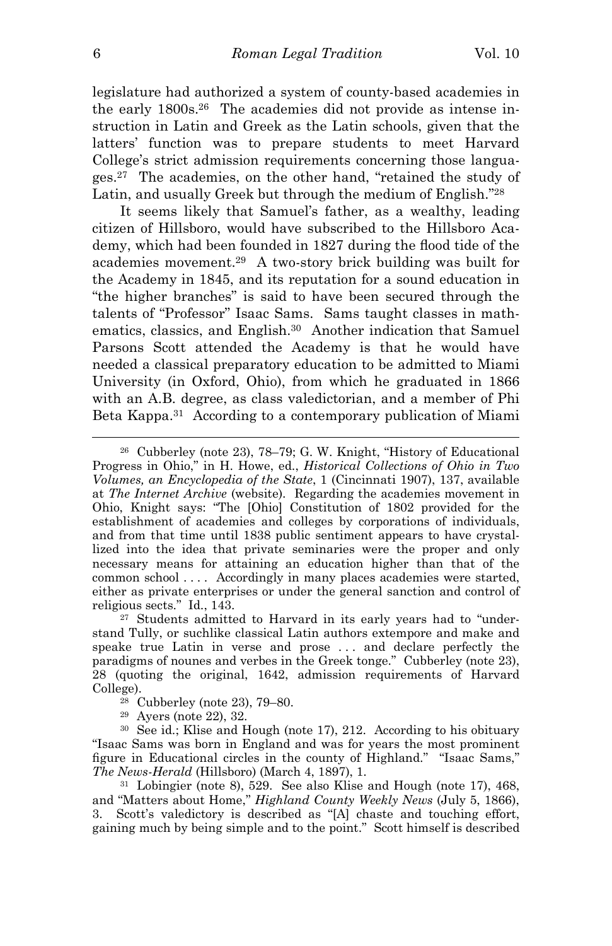legislature had authorized a system of county-based academies in the early 1800s.26 The academies did not provide as intense instruction in Latin and Greek as the Latin schools, given that the latters' function was to prepare students to meet Harvard College's strict admission requirements concerning those languages.<sup>27</sup> The academies, on the other hand, "retained the study of Latin, and usually Greek but through the medium of English."<sup>28</sup>

It seems likely that Samuel's father, as a wealthy, leading citizen of Hillsboro, would have subscribed to the Hillsboro Academy, which had been founded in 1827 during the flood tide of the academies movement.<sup>29</sup> A two-story brick building was built for the Academy in 1845, and its reputation for a sound education in "the higher branches" is said to have been secured through the talents of "Professor" Isaac Sams. Sams taught classes in mathematics, classics, and English.<sup>30</sup> Another indication that Samuel Parsons Scott attended the Academy is that he would have needed a classical preparatory education to be admitted to Miami University (in Oxford, Ohio), from which he graduated in 1866 with an A.B. degree, as class valedictorian, and a member of Phi Beta Kappa.<sup>31</sup> According to a contemporary publication of Miami

<sup>26</sup> Cubberley (note 23), 78–79; G. W. Knight, "History of Educational Progress in Ohio," in H. Howe, ed., *Historical Collections of Ohio in Two Volumes, an Encyclopedia of the State*, 1 (Cincinnati 1907), 137, available at *The Internet Archive* (website). Regarding the academies movement in Ohio, Knight says: "The [Ohio] Constitution of 1802 provided for the establishment of academies and colleges by corporations of individuals, and from that time until 1838 public sentiment appears to have crystallized into the idea that private seminaries were the proper and only necessary means for attaining an education higher than that of the common school . . . . Accordingly in many places academies were started, either as private enterprises or under the general sanction and control of religious sects." Id., 143.

<sup>27</sup> Students admitted to Harvard in its early years had to "understand Tully, or suchlike classical Latin authors extempore and make and speake true Latin in verse and prose . . . and declare perfectly the paradigms of nounes and verbes in the Greek tonge." Cubberley (note 23), 28 (quoting the original, 1642, admission requirements of Harvard College).

<sup>28</sup> Cubberley (note 23), 79–80.

<sup>29</sup> Ayers (note 22), 32.

<sup>30</sup> See id.; Klise and Hough (note 17), 212. According to his obituary "Isaac Sams was born in England and was for years the most prominent figure in Educational circles in the county of Highland." "Isaac Sams," *The News-Herald* (Hillsboro) (March 4, 1897), 1.

<sup>31</sup> Lobingier (note 8), 529. See also Klise and Hough (note 17), 468, and "Matters about Home," *Highland County Weekly News* (July 5, 1866), 3. Scott's valedictory is described as "[A] chaste and touching effort, gaining much by being simple and to the point." Scott himself is described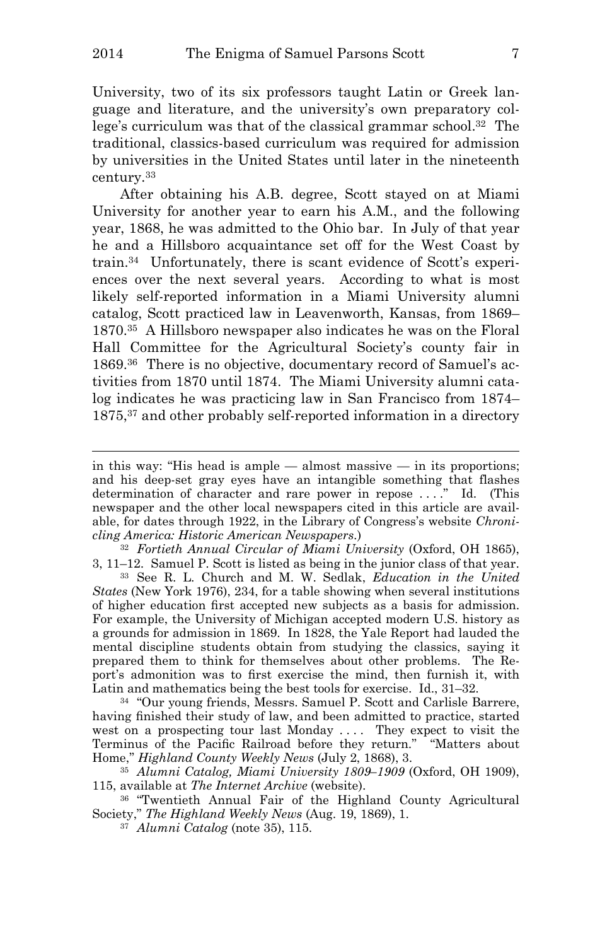i<br>L

University, two of its six professors taught Latin or Greek language and literature, and the university's own preparatory college's curriculum was that of the classical grammar school.<sup>32</sup> The traditional, classics-based curriculum was required for admission by universities in the United States until later in the nineteenth century.<sup>33</sup>

After obtaining his A.B. degree, Scott stayed on at Miami University for another year to earn his A.M., and the following year, 1868, he was admitted to the Ohio bar. In July of that year he and a Hillsboro acquaintance set off for the West Coast by train.34 Unfortunately, there is scant evidence of Scott's experiences over the next several years. According to what is most likely self-reported information in a Miami University alumni catalog, Scott practiced law in Leavenworth, Kansas, from 1869– 1870.<sup>35</sup> A Hillsboro newspaper also indicates he was on the Floral Hall Committee for the Agricultural Society's county fair in 1869.36 There is no objective, documentary record of Samuel's activities from 1870 until 1874. The Miami University alumni catalog indicates he was practicing law in San Francisco from 1874– 1875,<sup>37</sup> and other probably self-reported information in a directory

<sup>32</sup> *Fortieth Annual Circular of Miami University* (Oxford, OH 1865), 3, 11–12. Samuel P. Scott is listed as being in the junior class of that year.

<sup>33</sup> See R. L. Church and M. W. Sedlak, *Education in the United States* (New York 1976), 234, for a table showing when several institutions of higher education first accepted new subjects as a basis for admission. For example, the University of Michigan accepted modern U.S. history as a grounds for admission in 1869. In 1828, the Yale Report had lauded the mental discipline students obtain from studying the classics, saying it prepared them to think for themselves about other problems. The Report's admonition was to first exercise the mind, then furnish it, with Latin and mathematics being the best tools for exercise. Id., 31–32.

<sup>34</sup> "Our young friends, Messrs. Samuel P. Scott and Carlisle Barrere, having finished their study of law, and been admitted to practice, started west on a prospecting tour last Monday .... They expect to visit the Terminus of the Pacific Railroad before they return." "Matters about Home," *Highland County Weekly News* (July 2, 1868), 3.

<sup>35</sup> *Alumni Catalog, Miami University 1809–1909* (Oxford, OH 1909), 115, available at *The Internet Archive* (website).

<sup>36</sup> "Twentieth Annual Fair of the Highland County Agricultural Society," *The Highland Weekly News* (Aug. 19, 1869), 1.

<sup>37</sup> *Alumni Catalog* (note 35), 115.

in this way: "His head is ample — almost massive — in its proportions; and his deep-set gray eyes have an intangible something that flashes determination of character and rare power in repose ...." Id. (This newspaper and the other local newspapers cited in this article are available, for dates through 1922, in the Library of Congress's website *Chronicling America: Historic American Newspapers*.)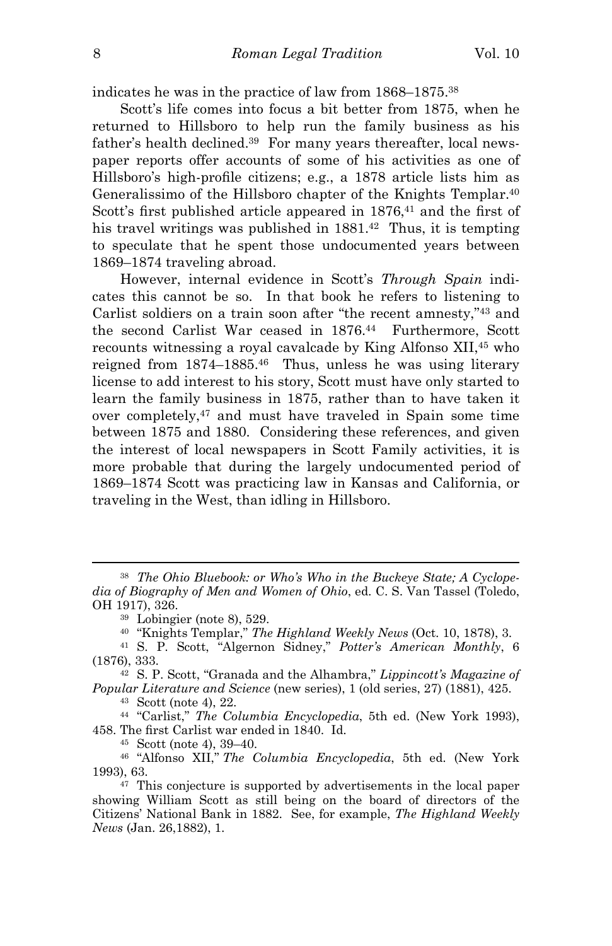indicates he was in the practice of law from 1868–1875.<sup>38</sup>

Scott's life comes into focus a bit better from 1875, when he returned to Hillsboro to help run the family business as his father's health declined.39 For many years thereafter, local newspaper reports offer accounts of some of his activities as one of Hillsboro's high-profile citizens; e.g., a 1878 article lists him as Generalissimo of the Hillsboro chapter of the Knights Templar.<sup>40</sup> Scott's first published article appeared in 1876,<sup>41</sup> and the first of his travel writings was published in 1881.<sup>42</sup> Thus, it is tempting to speculate that he spent those undocumented years between 1869–1874 traveling abroad.

However, internal evidence in Scott's *Through Spain* indicates this cannot be so. In that book he refers to listening to Carlist soldiers on a train soon after "the recent amnesty,"<sup>43</sup> and the second Carlist War ceased in 1876.<sup>44</sup> Furthermore, Scott recounts witnessing a royal cavalcade by King Alfonso XII,<sup>45</sup> who reigned from 1874–1885.<sup>46</sup> Thus, unless he was using literary license to add interest to his story, Scott must have only started to learn the family business in 1875, rather than to have taken it over completely,<sup>47</sup> and must have traveled in Spain some time between 1875 and 1880. Considering these references, and given the interest of local newspapers in Scott Family activities, it is more probable that during the largely undocumented period of 1869–1874 Scott was practicing law in Kansas and California, or traveling in the West, than idling in Hillsboro.

<sup>43</sup> Scott (note 4), 22.

<sup>44</sup> "Carlist," *The Columbia Encyclopedia*, 5th ed. (New York 1993), 458. The first Carlist war ended in 1840. Id.

<sup>46</sup> "Alfonso XII," *The Columbia Encyclopedia*, 5th ed. (New York 1993), 63.

<sup>38</sup> *The Ohio Bluebook: or Who's Who in the Buckeye State; A Cyclopedia of Biography of Men and Women of Ohio*, ed. C. S. Van Tassel (Toledo, OH 1917), 326.

<sup>39</sup> Lobingier (note 8), 529.

<sup>40</sup> "Knights Templar," *The Highland Weekly News* (Oct. 10, 1878), 3.

<sup>41</sup> S. P. Scott, "Algernon Sidney," *Potter's American Monthly*, 6 (1876), 333.

<sup>42</sup> S. P. Scott, "Granada and the Alhambra," *Lippincott's Magazine of Popular Literature and Science* (new series), 1 (old series, 27) (1881), 425.

<sup>45</sup> Scott (note 4), 39–40.

<sup>47</sup> This conjecture is supported by advertisements in the local paper showing William Scott as still being on the board of directors of the Citizens' National Bank in 1882. See, for example, *The Highland Weekly News* (Jan. 26,1882), 1.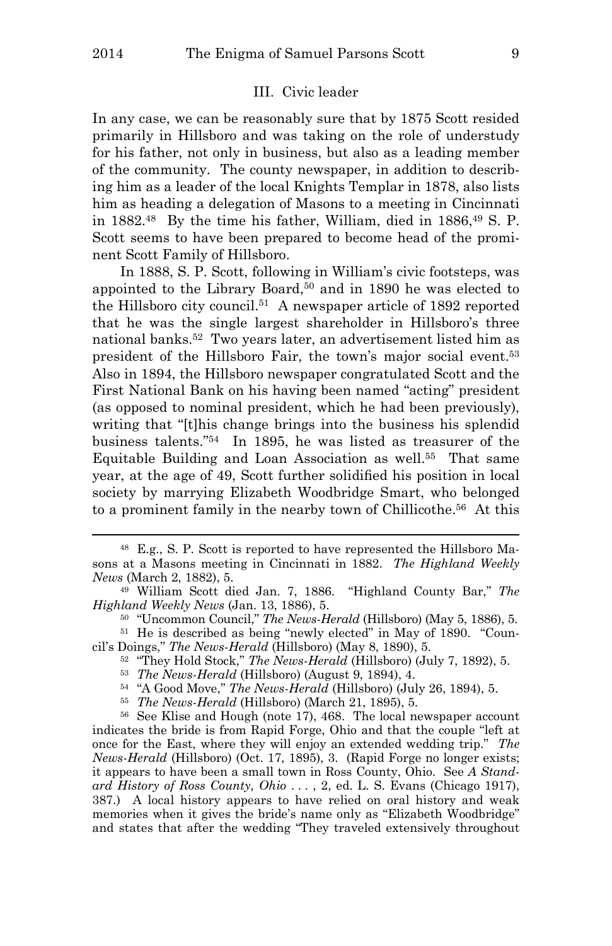i<br>L

# III. Civic leader

In any case, we can be reasonably sure that by 1875 Scott resided primarily in Hillsboro and was taking on the role of understudy for his father, not only in business, but also as a leading member of the community. The county newspaper, in addition to describing him as a leader of the local Knights Templar in 1878, also lists him as heading a delegation of Masons to a meeting in Cincinnati in 1882.<sup>48</sup> By the time his father, William, died in 1886,<sup>49</sup> S. P. Scott seems to have been prepared to become head of the prominent Scott Family of Hillsboro.

In 1888, S. P. Scott, following in William's civic footsteps, was appointed to the Library Board,<sup>50</sup> and in 1890 he was elected to the Hillsboro city council.<sup>51</sup> A newspaper article of 1892 reported that he was the single largest shareholder in Hillsboro's three national banks.<sup>52</sup> Two years later, an advertisement listed him as president of the Hillsboro Fair, the town's major social event.<sup>53</sup> Also in 1894, the Hillsboro newspaper congratulated Scott and the First National Bank on his having been named "acting" president (as opposed to nominal president, which he had been previously), writing that "[t]his change brings into the business his splendid business talents."<sup>54</sup> In 1895, he was listed as treasurer of the Equitable Building and Loan Association as well.<sup>55</sup> That same year, at the age of 49, Scott further solidified his position in local society by marrying Elizabeth Woodbridge Smart, who belonged to a prominent family in the nearby town of Chillicothe.<sup>56</sup> At this

- <sup>52</sup> "They Hold Stock," *The News-Herald* (Hillsboro) (July 7, 1892), 5.
- <sup>53</sup> *The News-Herald* (Hillsboro) (August 9, 1894), 4.
- <sup>54</sup> "A Good Move," *The News-Herald* (Hillsboro) (July 26, 1894), 5.
- <sup>55</sup> *The News-Herald* (Hillsboro) (March 21, 1895), 5.

<sup>56</sup> See Klise and Hough (note 17), 468. The local newspaper account indicates the bride is from Rapid Forge, Ohio and that the couple "left at once for the East, where they will enjoy an extended wedding trip." *The News-Herald* (Hillsboro) (Oct. 17, 1895), 3. (Rapid Forge no longer exists; it appears to have been a small town in Ross County, Ohio. See *A Standard History of Ross County, Ohio* . . . , 2, ed. L. S. Evans (Chicago 1917), 387.) A local history appears to have relied on oral history and weak memories when it gives the bride's name only as "Elizabeth Woodbridge" and states that after the wedding "They traveled extensively throughout

<sup>48</sup> E.g., S. P. Scott is reported to have represented the Hillsboro Masons at a Masons meeting in Cincinnati in 1882. *The Highland Weekly News* (March 2, 1882), 5.

<sup>49</sup> William Scott died Jan. 7, 1886. "Highland County Bar," *The Highland Weekly News* (Jan. 13, 1886), 5.

<sup>50</sup> "Uncommon Council," *The News-Herald* (Hillsboro) (May 5, 1886), 5.

<sup>51</sup> He is described as being "newly elected" in May of 1890. "Council's Doings," *The News-Herald* (Hillsboro) (May 8, 1890), 5.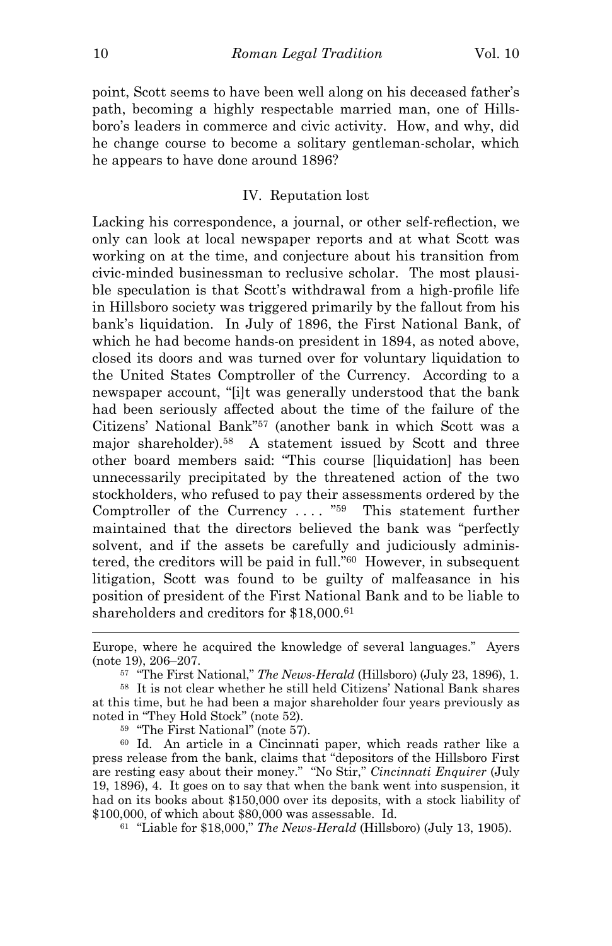point, Scott seems to have been well along on his deceased father's path, becoming a highly respectable married man, one of Hillsboro's leaders in commerce and civic activity. How, and why, did he change course to become a solitary gentleman-scholar, which he appears to have done around 1896?

## IV. Reputation lost

Lacking his correspondence, a journal, or other self-reflection, we only can look at local newspaper reports and at what Scott was working on at the time, and conjecture about his transition from civic-minded businessman to reclusive scholar. The most plausible speculation is that Scott's withdrawal from a high-profile life in Hillsboro society was triggered primarily by the fallout from his bank's liquidation. In July of 1896, the First National Bank, of which he had become hands-on president in 1894, as noted above, closed its doors and was turned over for voluntary liquidation to the United States Comptroller of the Currency. According to a newspaper account, "[i]t was generally understood that the bank had been seriously affected about the time of the failure of the Citizens' National Bank"<sup>57</sup> (another bank in which Scott was a major shareholder).<sup>58</sup> A statement issued by Scott and three other board members said: "This course [liquidation] has been unnecessarily precipitated by the threatened action of the two stockholders, who refused to pay their assessments ordered by the Comptroller of the Currency  $\dots$  "<sup>59</sup> This statement further maintained that the directors believed the bank was "perfectly solvent, and if the assets be carefully and judiciously administered, the creditors will be paid in full."<sup>60</sup> However, in subsequent litigation, Scott was found to be guilty of malfeasance in his position of president of the First National Bank and to be liable to shareholders and creditors for \$18,000.<sup>61</sup>

<sup>59</sup> "The First National" (note 57).

<sup>60</sup> Id. An article in a Cincinnati paper, which reads rather like a press release from the bank, claims that "depositors of the Hillsboro First are resting easy about their money." "No Stir," *Cincinnati Enquirer* (July 19, 1896), 4. It goes on to say that when the bank went into suspension, it had on its books about \$150,000 over its deposits, with a stock liability of \$100,000, of which about \$80,000 was assessable. Id.

61 "Liable for \$18,000," *The News-Herald* (Hillsboro) (July 13, 1905).

Europe, where he acquired the knowledge of several languages." Ayers (note 19), 206–207.

<sup>57</sup> "The First National," *The News-Herald* (Hillsboro) (July 23, 1896), 1.

<sup>58</sup> It is not clear whether he still held Citizens' National Bank shares at this time, but he had been a major shareholder four years previously as noted in "They Hold Stock" (note 52).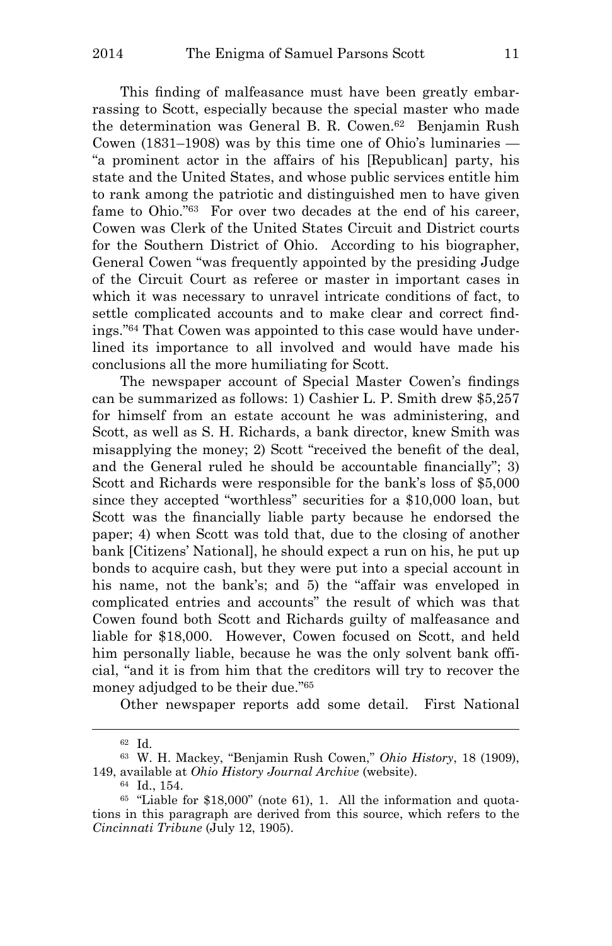This finding of malfeasance must have been greatly embarrassing to Scott, especially because the special master who made the determination was General B. R. Cowen.<sup>62</sup> Benjamin Rush Cowen (1831–1908) was by this time one of Ohio's luminaries  $-$ "a prominent actor in the affairs of his [Republican] party, his state and the United States, and whose public services entitle him to rank among the patriotic and distinguished men to have given fame to Ohio."<sup>63</sup> For over two decades at the end of his career, Cowen was Clerk of the United States Circuit and District courts for the Southern District of Ohio. According to his biographer, General Cowen "was frequently appointed by the presiding Judge of the Circuit Court as referee or master in important cases in which it was necessary to unravel intricate conditions of fact, to settle complicated accounts and to make clear and correct findings."64 That Cowen was appointed to this case would have underlined its importance to all involved and would have made his conclusions all the more humiliating for Scott.

The newspaper account of Special Master Cowen's findings can be summarized as follows: 1) Cashier L. P. Smith drew \$5,257 for himself from an estate account he was administering, and Scott, as well as S. H. Richards, a bank director, knew Smith was misapplying the money; 2) Scott "received the benefit of the deal, and the General ruled he should be accountable financially"; 3) Scott and Richards were responsible for the bank's loss of \$5,000 since they accepted "worthless" securities for a \$10,000 loan, but Scott was the financially liable party because he endorsed the paper; 4) when Scott was told that, due to the closing of another bank [Citizens' National], he should expect a run on his, he put up bonds to acquire cash, but they were put into a special account in his name, not the bank's; and 5) the "affair was enveloped in complicated entries and accounts" the result of which was that Cowen found both Scott and Richards guilty of malfeasance and liable for \$18,000. However, Cowen focused on Scott, and held him personally liable, because he was the only solvent bank official, "and it is from him that the creditors will try to recover the money adjudged to be their due."<sup>65</sup>

Other newspaper reports add some detail. First National

<sup>62</sup> Id.

<sup>63</sup> W. H. Mackey, "Benjamin Rush Cowen," *Ohio History*, 18 (1909), 149, available at *Ohio History Journal Archive* (website).

<sup>64</sup> Id., 154.

<sup>65</sup> "Liable for \$18,000" (note 61), 1. All the information and quotations in this paragraph are derived from this source, which refers to the *Cincinnati Tribune* (July 12, 1905).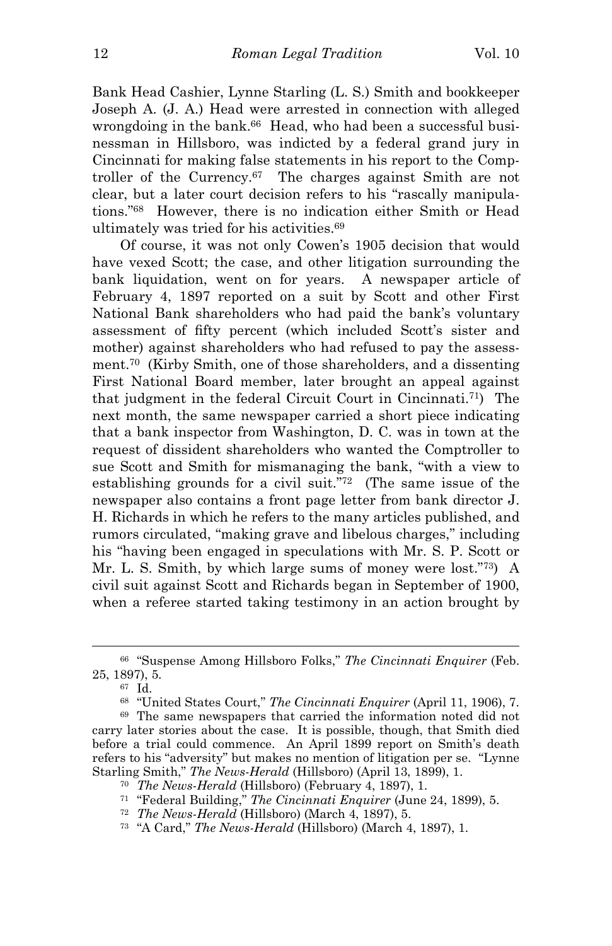Bank Head Cashier, Lynne Starling (L. S.) Smith and bookkeeper Joseph A. (J. A.) Head were arrested in connection with alleged wrongdoing in the bank.<sup>66</sup> Head, who had been a successful businessman in Hillsboro, was indicted by a federal grand jury in Cincinnati for making false statements in his report to the Comptroller of the Currency.<sup>67</sup> The charges against Smith are not clear, but a later court decision refers to his "rascally manipulations."<sup>68</sup> However, there is no indication either Smith or Head ultimately was tried for his activities.<sup>69</sup>

Of course, it was not only Cowen's 1905 decision that would have vexed Scott; the case, and other litigation surrounding the bank liquidation, went on for years. A newspaper article of February 4, 1897 reported on a suit by Scott and other First National Bank shareholders who had paid the bank's voluntary assessment of fifty percent (which included Scott's sister and mother) against shareholders who had refused to pay the assessment.<sup>70</sup> (Kirby Smith, one of those shareholders, and a dissenting First National Board member, later brought an appeal against that judgment in the federal Circuit Court in Cincinnati.<sup>71</sup>) The next month, the same newspaper carried a short piece indicating that a bank inspector from Washington, D. C. was in town at the request of dissident shareholders who wanted the Comptroller to sue Scott and Smith for mismanaging the bank, "with a view to establishing grounds for a civil suit."<sup>72</sup> (The same issue of the newspaper also contains a front page letter from bank director J. H. Richards in which he refers to the many articles published, and rumors circulated, "making grave and libelous charges," including his "having been engaged in speculations with Mr. S. P. Scott or Mr. L. S. Smith, by which large sums of money were lost."<sup>73</sup>) A civil suit against Scott and Richards began in September of 1900, when a referee started taking testimony in an action brought by

<sup>66</sup> "Suspense Among Hillsboro Folks," *The Cincinnati Enquirer* (Feb. 25, 1897), 5.

<sup>67</sup> Id.

<sup>68</sup> "United States Court," *The Cincinnati Enquirer* (April 11, 1906), 7.

<sup>69</sup> The same newspapers that carried the information noted did not carry later stories about the case. It is possible, though, that Smith died before a trial could commence. An April 1899 report on Smith's death refers to his "adversity" but makes no mention of litigation per se. "Lynne Starling Smith," *The News-Herald* (Hillsboro) (April 13, 1899), 1.

<sup>70</sup> *The News-Herald* (Hillsboro) (February 4, 1897), 1.

<sup>71</sup> "Federal Building," *The Cincinnati Enquirer* (June 24, 1899), 5.

<sup>72</sup> *The News-Herald* (Hillsboro) (March 4, 1897), 5.

<sup>73</sup> "A Card," *The News-Herald* (Hillsboro) (March 4, 1897), 1.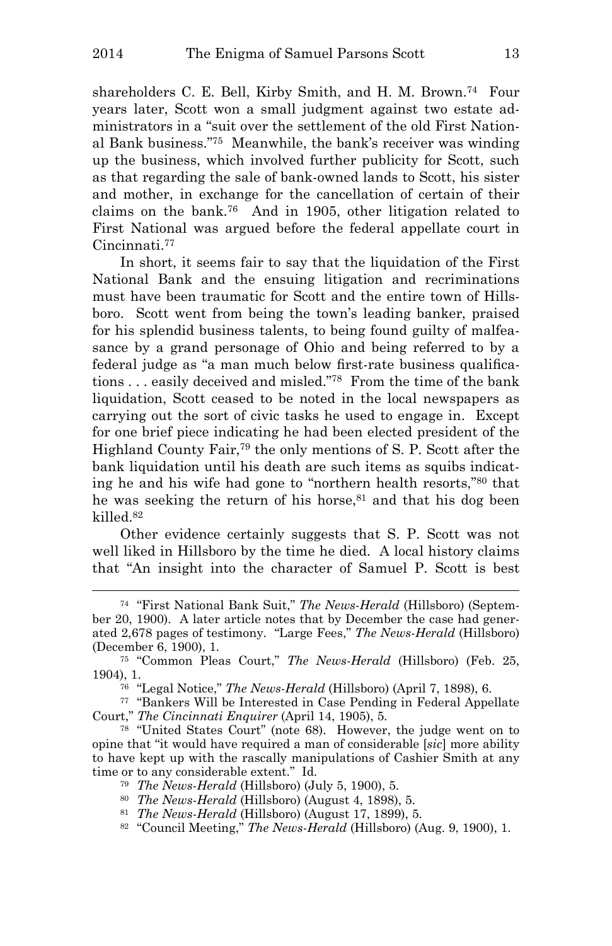i<br>L

shareholders C. E. Bell, Kirby Smith, and H. M. Brown.<sup>74</sup> Four years later, Scott won a small judgment against two estate administrators in a "suit over the settlement of the old First National Bank business."<sup>75</sup> Meanwhile, the bank's receiver was winding up the business, which involved further publicity for Scott, such as that regarding the sale of bank-owned lands to Scott, his sister and mother, in exchange for the cancellation of certain of their claims on the bank.<sup>76</sup> And in 1905, other litigation related to First National was argued before the federal appellate court in Cincinnati.<sup>77</sup>

In short, it seems fair to say that the liquidation of the First National Bank and the ensuing litigation and recriminations must have been traumatic for Scott and the entire town of Hillsboro. Scott went from being the town's leading banker, praised for his splendid business talents, to being found guilty of malfeasance by a grand personage of Ohio and being referred to by a federal judge as "a man much below first-rate business qualifications . . . easily deceived and misled."<sup>78</sup> From the time of the bank liquidation, Scott ceased to be noted in the local newspapers as carrying out the sort of civic tasks he used to engage in. Except for one brief piece indicating he had been elected president of the Highland County Fair,<sup>79</sup> the only mentions of S. P. Scott after the bank liquidation until his death are such items as squibs indicating he and his wife had gone to "northern health resorts,"<sup>80</sup> that he was seeking the return of his horse,<sup>81</sup> and that his dog been killed.<sup>82</sup>

Other evidence certainly suggests that S. P. Scott was not well liked in Hillsboro by the time he died. A local history claims that "An insight into the character of Samuel P. Scott is best

<sup>74</sup> "First National Bank Suit," *The News-Herald* (Hillsboro) (September 20, 1900). A later article notes that by December the case had generated 2,678 pages of testimony. "Large Fees," *The News-Herald* (Hillsboro) (December 6, 1900), 1.

<sup>75</sup> "Common Pleas Court," *The News-Herald* (Hillsboro) (Feb. 25, 1904), 1.

<sup>76</sup> "Legal Notice," *The News-Herald* (Hillsboro) (April 7, 1898), 6.

<sup>77</sup> "Bankers Will be Interested in Case Pending in Federal Appellate Court," *The Cincinnati Enquirer* (April 14, 1905), 5.

<sup>78</sup> "United States Court" (note 68). However, the judge went on to opine that "it would have required a man of considerable [*sic*] more ability to have kept up with the rascally manipulations of Cashier Smith at any time or to any considerable extent." Id.

<sup>79</sup> *The News-Herald* (Hillsboro) (July 5, 1900), 5.

<sup>80</sup> *The News-Herald* (Hillsboro) (August 4, 1898), 5.

<sup>81</sup> *The News-Herald* (Hillsboro) (August 17, 1899), 5.

<sup>82</sup> "Council Meeting," *The News-Herald* (Hillsboro) (Aug. 9, 1900), 1.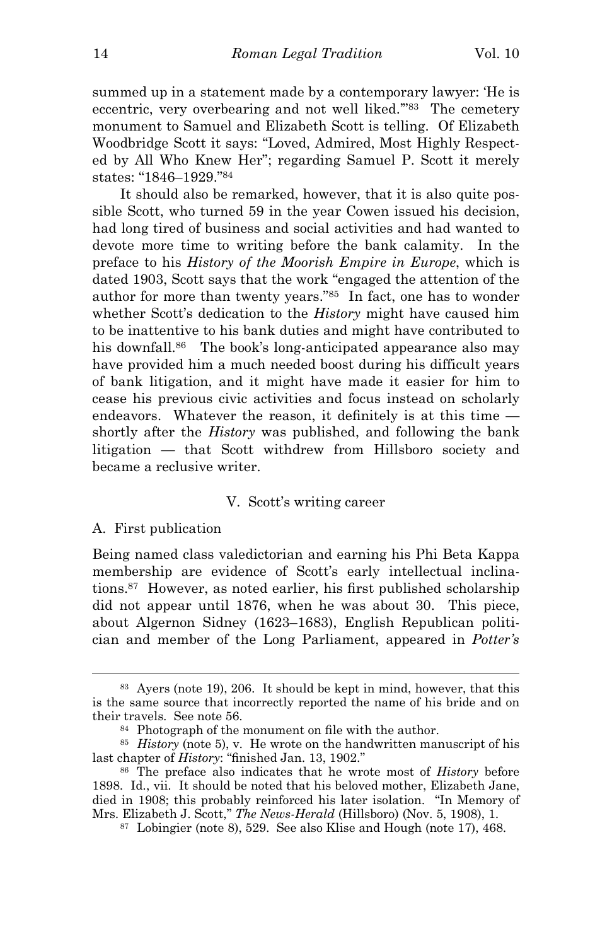summed up in a statement made by a contemporary lawyer: 'He is eccentric, very overbearing and not well liked.'"<sup>83</sup> The cemetery monument to Samuel and Elizabeth Scott is telling. Of Elizabeth Woodbridge Scott it says: "Loved, Admired, Most Highly Respected by All Who Knew Her"; regarding Samuel P. Scott it merely states: "1846–1929."<sup>84</sup>

It should also be remarked, however, that it is also quite possible Scott, who turned 59 in the year Cowen issued his decision, had long tired of business and social activities and had wanted to devote more time to writing before the bank calamity. In the preface to his *History of the Moorish Empire in Europe*, which is dated 1903, Scott says that the work "engaged the attention of the author for more than twenty years."<sup>85</sup> In fact, one has to wonder whether Scott's dedication to the *History* might have caused him to be inattentive to his bank duties and might have contributed to his downfall.<sup>86</sup> The book's long-anticipated appearance also may have provided him a much needed boost during his difficult years of bank litigation, and it might have made it easier for him to cease his previous civic activities and focus instead on scholarly endeavors. Whatever the reason, it definitely is at this time shortly after the *History* was published, and following the bank litigation — that Scott withdrew from Hillsboro society and became a reclusive writer.

### V. Scott's writing career

#### A. First publication

i<br>L

Being named class valedictorian and earning his Phi Beta Kappa membership are evidence of Scott's early intellectual inclinations.<sup>87</sup> However, as noted earlier, his first published scholarship did not appear until 1876, when he was about 30. This piece, about Algernon Sidney (1623–1683), English Republican politician and member of the Long Parliament, appeared in *Potter's* 

<sup>83</sup> Ayers (note 19), 206. It should be kept in mind, however, that this is the same source that incorrectly reported the name of his bride and on their travels. See note 56.

<sup>84</sup> Photograph of the monument on file with the author.

<sup>85</sup> *History* (note 5), v. He wrote on the handwritten manuscript of his last chapter of *History*: "finished Jan. 13, 1902."

<sup>86</sup> The preface also indicates that he wrote most of *History* before 1898. Id., vii. It should be noted that his beloved mother, Elizabeth Jane, died in 1908; this probably reinforced his later isolation. "In Memory of Mrs. Elizabeth J. Scott," *The News-Herald* (Hillsboro) (Nov. 5, 1908), 1.

<sup>87</sup> Lobingier (note 8), 529. See also Klise and Hough (note 17), 468.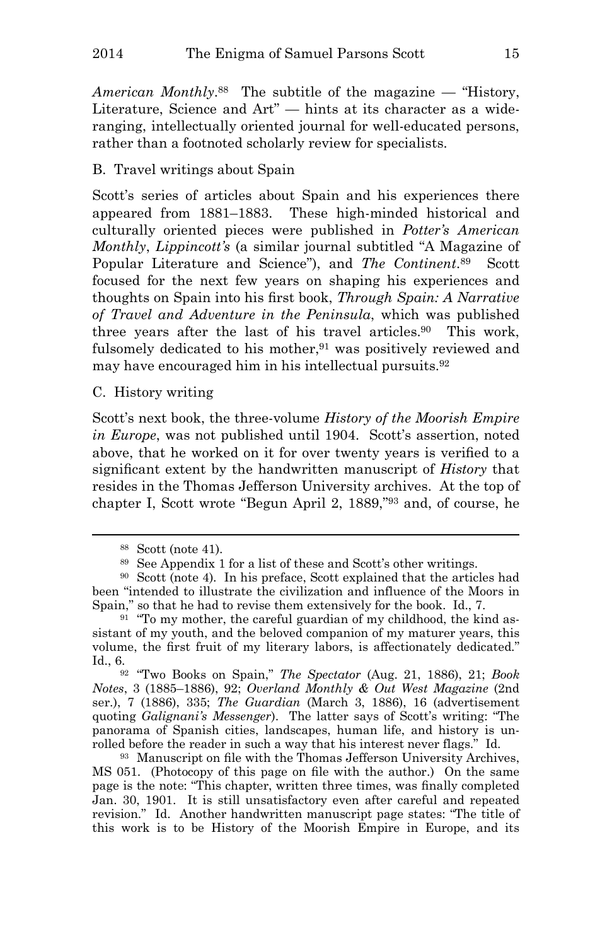*American Monthly*. <sup>88</sup> The subtitle of the magazine — "History, Literature, Science and Art" — hints at its character as a wideranging, intellectually oriented journal for well-educated persons, rather than a footnoted scholarly review for specialists.

# B. Travel writings about Spain

Scott's series of articles about Spain and his experiences there appeared from 1881–1883. These high-minded historical and culturally oriented pieces were published in *Potter's American Monthly*, *Lippincott's* (a similar journal subtitled "A Magazine of Popular Literature and Science"), and *The Continent*. <sup>89</sup> Scott focused for the next few years on shaping his experiences and thoughts on Spain into his first book, *Through Spain: A Narrative of Travel and Adventure in the Peninsula*, which was published three years after the last of his travel articles.<sup>90</sup> This work, fulsomely dedicated to his mother,<sup>91</sup> was positively reviewed and may have encouraged him in his intellectual pursuits.<sup>92</sup>

C. History writing

Scott's next book, the three-volume *History of the Moorish Empire in Europe*, was not published until 1904. Scott's assertion, noted above, that he worked on it for over twenty years is verified to a significant extent by the handwritten manuscript of *History* that resides in the Thomas Jefferson University archives. At the top of chapter I, Scott wrote "Begun April 2, 1889,"<sup>93</sup> and, of course, he

i<br>L

<sup>92</sup> "Two Books on Spain," *The Spectator* (Aug. 21, 1886), 21; *Book Notes*, 3 (1885–1886), 92; *Overland Monthly & Out West Magazine* (2nd ser.), 7 (1886), 335; *The Guardian* (March 3, 1886), 16 (advertisement quoting *Galignani's Messenger*). The latter says of Scott's writing: "The panorama of Spanish cities, landscapes, human life, and history is unrolled before the reader in such a way that his interest never flags." Id.

<sup>93</sup> Manuscript on file with the Thomas Jefferson University Archives, MS 051. (Photocopy of this page on file with the author.) On the same page is the note: "This chapter, written three times, was finally completed Jan. 30, 1901. It is still unsatisfactory even after careful and repeated revision." Id. Another handwritten manuscript page states: "The title of this work is to be History of the Moorish Empire in Europe, and its

<sup>88</sup> Scott (note 41).

<sup>89</sup> See Appendix 1 for a list of these and Scott's other writings.

<sup>90</sup> Scott (note 4). In his preface, Scott explained that the articles had been "intended to illustrate the civilization and influence of the Moors in Spain," so that he had to revise them extensively for the book. Id., 7.

 $91$  "To my mother, the careful guardian of my childhood, the kind assistant of my youth, and the beloved companion of my maturer years, this volume, the first fruit of my literary labors, is affectionately dedicated." Id., 6.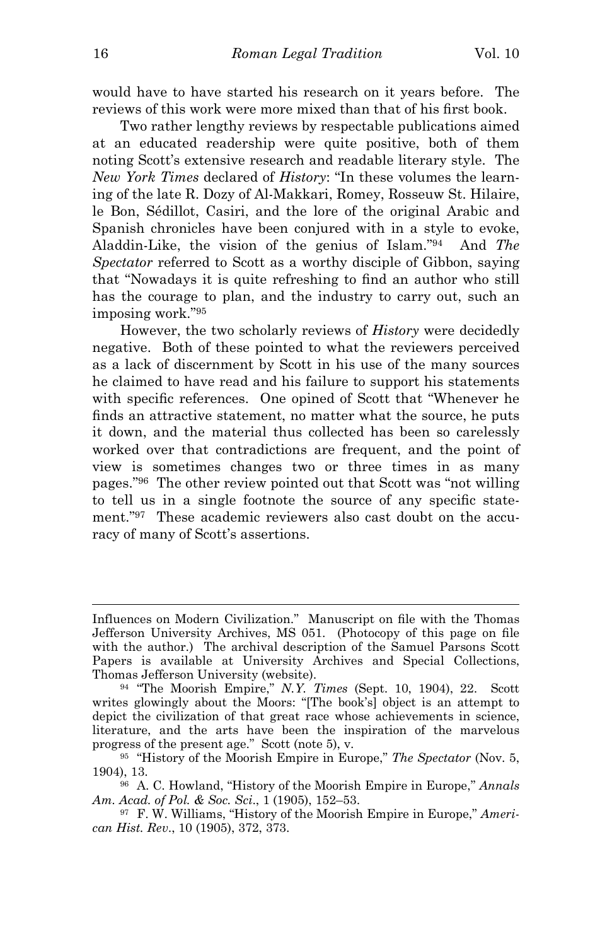would have to have started his research on it years before. The reviews of this work were more mixed than that of his first book.

Two rather lengthy reviews by respectable publications aimed at an educated readership were quite positive, both of them noting Scott's extensive research and readable literary style. The *New York Times* declared of *History*: "In these volumes the learning of the late R. Dozy of Al-Makkari, Romey, Rosseuw St. Hilaire, le Bon, Sédillot, Casiri, and the lore of the original Arabic and Spanish chronicles have been conjured with in a style to evoke, Aladdin-Like, the vision of the genius of Islam."<sup>94</sup> And *The Spectator* referred to Scott as a worthy disciple of Gibbon, saying that "Nowadays it is quite refreshing to find an author who still has the courage to plan, and the industry to carry out, such an imposing work."<sup>95</sup>

However, the two scholarly reviews of *History* were decidedly negative. Both of these pointed to what the reviewers perceived as a lack of discernment by Scott in his use of the many sources he claimed to have read and his failure to support his statements with specific references. One opined of Scott that "Whenever he finds an attractive statement, no matter what the source, he puts it down, and the material thus collected has been so carelessly worked over that contradictions are frequent, and the point of view is sometimes changes two or three times in as many pages."<sup>96</sup> The other review pointed out that Scott was "not willing to tell us in a single footnote the source of any specific statement."97 These academic reviewers also cast doubt on the accuracy of many of Scott's assertions.

Influences on Modern Civilization." Manuscript on file with the Thomas Jefferson University Archives, MS 051. (Photocopy of this page on file with the author.) The archival description of the Samuel Parsons Scott Papers is available at University Archives and Special Collections, Thomas Jefferson University (website).

<sup>94</sup> "The Moorish Empire," *N.Y. Times* (Sept. 10, 1904), 22. Scott writes glowingly about the Moors: "[The book's] object is an attempt to depict the civilization of that great race whose achievements in science, literature, and the arts have been the inspiration of the marvelous progress of the present age." Scott (note 5), v.

<sup>95</sup> "History of the Moorish Empire in Europe," *The Spectator* (Nov. 5, 1904), 13.

<sup>96</sup> A. C. Howland, "History of the Moorish Empire in Europe," *Annals Am. Acad. of Pol. & Soc. Sci*., 1 (1905), 152–53.

<sup>97</sup> F. W. Williams, "History of the Moorish Empire in Europe," *American Hist. Rev*., 10 (1905), 372, 373.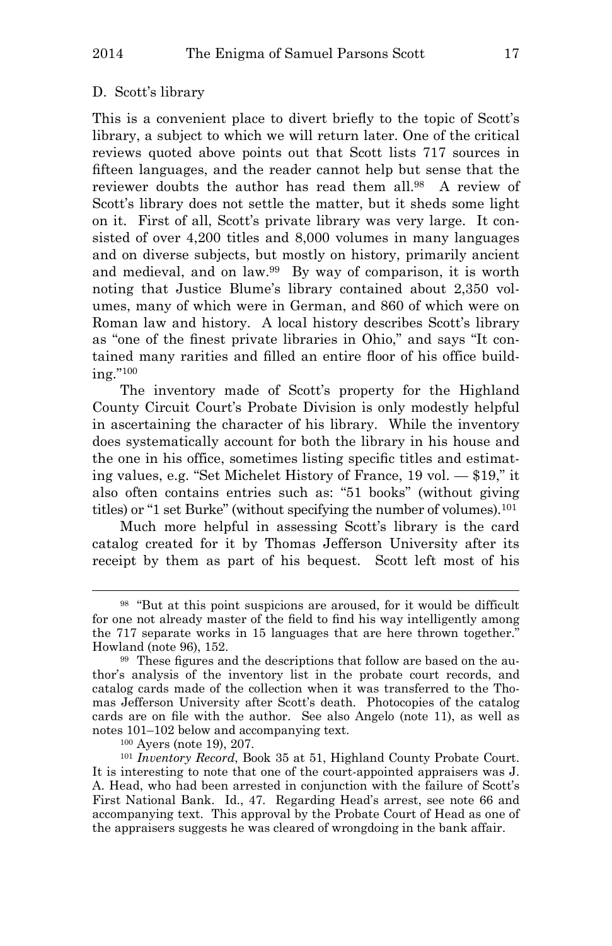#### D. Scott's library

This is a convenient place to divert briefly to the topic of Scott's library, a subject to which we will return later. One of the critical reviews quoted above points out that Scott lists 717 sources in fifteen languages, and the reader cannot help but sense that the reviewer doubts the author has read them all.<sup>98</sup> A review of Scott's library does not settle the matter, but it sheds some light on it. First of all, Scott's private library was very large. It consisted of over 4,200 titles and 8,000 volumes in many languages and on diverse subjects, but mostly on history, primarily ancient and medieval, and on law.<sup>99</sup> By way of comparison, it is worth noting that Justice Blume's library contained about 2,350 volumes, many of which were in German, and 860 of which were on Roman law and history. A local history describes Scott's library as "one of the finest private libraries in Ohio," and says "It contained many rarities and filled an entire floor of his office building."<sup>100</sup>

The inventory made of Scott's property for the Highland County Circuit Court's Probate Division is only modestly helpful in ascertaining the character of his library. While the inventory does systematically account for both the library in his house and the one in his office, sometimes listing specific titles and estimating values, e.g. "Set Michelet History of France, 19 vol. — \$19," it also often contains entries such as: "51 books" (without giving titles) or "1 set Burke" (without specifying the number of volumes).<sup>101</sup>

Much more helpful in assessing Scott's library is the card catalog created for it by Thomas Jefferson University after its receipt by them as part of his bequest. Scott left most of his

<sup>100</sup> Ayers (note 19), 207.

<sup>98</sup> "But at this point suspicions are aroused, for it would be difficult for one not already master of the field to find his way intelligently among the 717 separate works in 15 languages that are here thrown together." Howland (note 96), 152.

<sup>99</sup> These figures and the descriptions that follow are based on the author's analysis of the inventory list in the probate court records, and catalog cards made of the collection when it was transferred to the Thomas Jefferson University after Scott's death. Photocopies of the catalog cards are on file with the author. See also Angelo (note 11), as well as notes 101–102 below and accompanying text.

<sup>101</sup> *Inventory Record*, Book 35 at 51, Highland County Probate Court. It is interesting to note that one of the court-appointed appraisers was J. A. Head, who had been arrested in conjunction with the failure of Scott's First National Bank. Id., 47. Regarding Head's arrest, see note 66 and accompanying text. This approval by the Probate Court of Head as one of the appraisers suggests he was cleared of wrongdoing in the bank affair.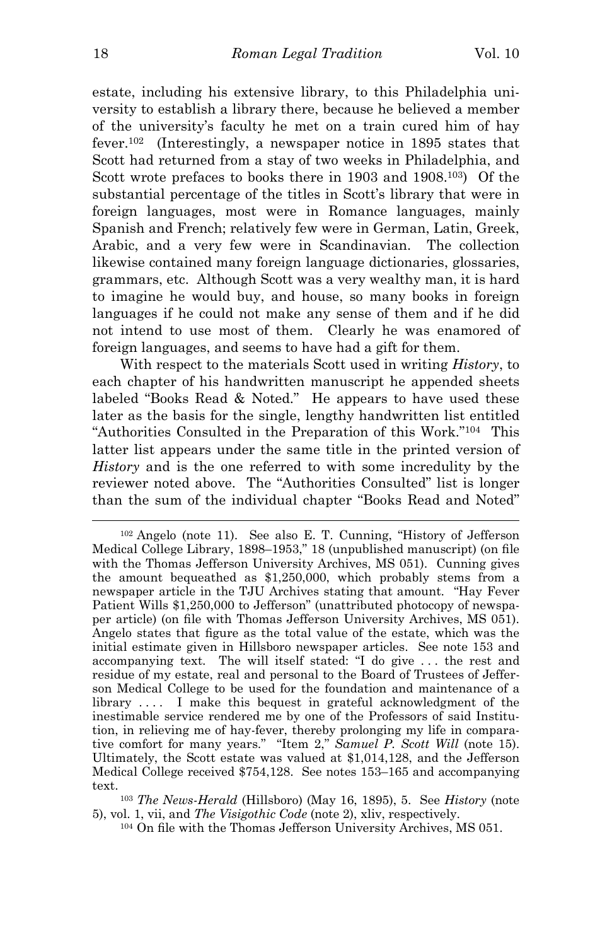estate, including his extensive library, to this Philadelphia university to establish a library there, because he believed a member of the university's faculty he met on a train cured him of hay fever.<sup>102</sup> (Interestingly, a newspaper notice in 1895 states that Scott had returned from a stay of two weeks in Philadelphia, and Scott wrote prefaces to books there in 1903 and 1908.<sup>103</sup>) Of the substantial percentage of the titles in Scott's library that were in foreign languages, most were in Romance languages, mainly Spanish and French; relatively few were in German, Latin, Greek, Arabic, and a very few were in Scandinavian. The collection likewise contained many foreign language dictionaries, glossaries, grammars, etc. Although Scott was a very wealthy man, it is hard to imagine he would buy, and house, so many books in foreign languages if he could not make any sense of them and if he did not intend to use most of them. Clearly he was enamored of foreign languages, and seems to have had a gift for them.

With respect to the materials Scott used in writing *History*, to each chapter of his handwritten manuscript he appended sheets labeled "Books Read & Noted." He appears to have used these later as the basis for the single, lengthy handwritten list entitled "Authorities Consulted in the Preparation of this Work."<sup>104</sup> This latter list appears under the same title in the printed version of *History* and is the one referred to with some incredulity by the reviewer noted above. The "Authorities Consulted" list is longer than the sum of the individual chapter "Books Read and Noted"

<sup>102</sup> Angelo (note 11). See also E. T. Cunning, "History of Jefferson Medical College Library, 1898–1953," 18 (unpublished manuscript) (on file with the Thomas Jefferson University Archives, MS 051). Cunning gives the amount bequeathed as \$1,250,000, which probably stems from a newspaper article in the TJU Archives stating that amount. "Hay Fever Patient Wills \$1,250,000 to Jefferson" (unattributed photocopy of newspaper article) (on file with Thomas Jefferson University Archives, MS 051). Angelo states that figure as the total value of the estate, which was the initial estimate given in Hillsboro newspaper articles. See note 153 and accompanying text. The will itself stated: "I do give . . . the rest and residue of my estate, real and personal to the Board of Trustees of Jefferson Medical College to be used for the foundation and maintenance of a library . . . . I make this bequest in grateful acknowledgment of the inestimable service rendered me by one of the Professors of said Institution, in relieving me of hay-fever, thereby prolonging my life in comparative comfort for many years." "Item 2," *Samuel P. Scott Will* (note 15). Ultimately, the Scott estate was valued at \$1,014,128, and the Jefferson Medical College received \$754,128. See notes 153–165 and accompanying text.

<sup>103</sup> *The News-Herald* (Hillsboro) (May 16, 1895), 5. See *History* (note 5), vol. 1, vii, and *The Visigothic Code* (note 2), xliv, respectively.

<sup>104</sup> On file with the Thomas Jefferson University Archives, MS 051.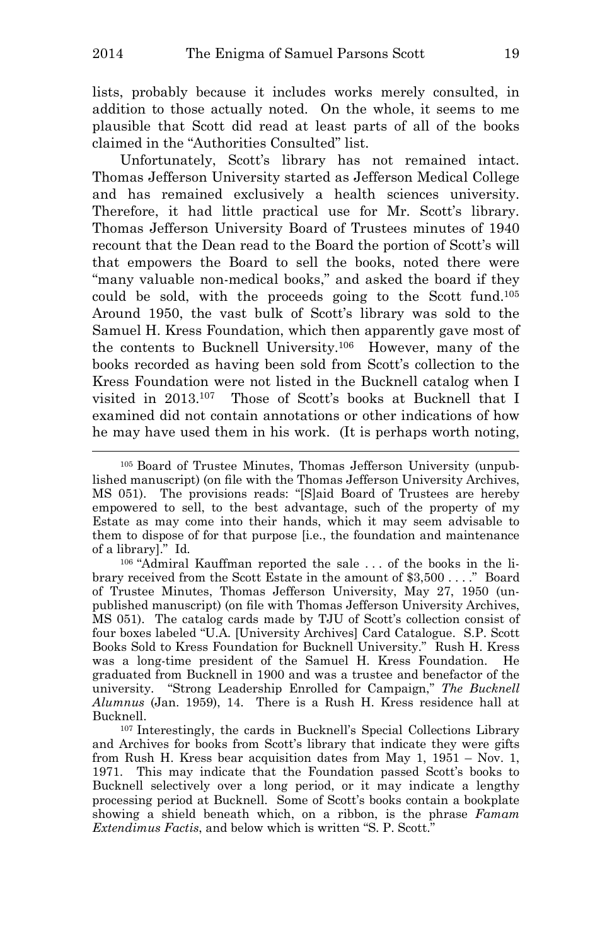lists, probably because it includes works merely consulted, in addition to those actually noted. On the whole, it seems to me plausible that Scott did read at least parts of all of the books claimed in the "Authorities Consulted" list.

Unfortunately, Scott's library has not remained intact. Thomas Jefferson University started as Jefferson Medical College and has remained exclusively a health sciences university. Therefore, it had little practical use for Mr. Scott's library. Thomas Jefferson University Board of Trustees minutes of 1940 recount that the Dean read to the Board the portion of Scott's will that empowers the Board to sell the books, noted there were "many valuable non-medical books," and asked the board if they could be sold, with the proceeds going to the Scott fund.<sup>105</sup> Around 1950, the vast bulk of Scott's library was sold to the Samuel H. Kress Foundation, which then apparently gave most of the contents to Bucknell University.<sup>106</sup> However, many of the books recorded as having been sold from Scott's collection to the Kress Foundation were not listed in the Bucknell catalog when I visited in 2013.<sup>107</sup> Those of Scott's books at Bucknell that I examined did not contain annotations or other indications of how he may have used them in his work. (It is perhaps worth noting,

<sup>105</sup> Board of Trustee Minutes, Thomas Jefferson University (unpublished manuscript) (on file with the Thomas Jefferson University Archives, MS 051). The provisions reads: "[S]aid Board of Trustees are hereby empowered to sell, to the best advantage, such of the property of my Estate as may come into their hands, which it may seem advisable to them to dispose of for that purpose [i.e., the foundation and maintenance of a library]." Id.

<sup>106</sup> "Admiral Kauffman reported the sale . . . of the books in the library received from the Scott Estate in the amount of \$3,500 . . . ." Board of Trustee Minutes, Thomas Jefferson University, May 27, 1950 (unpublished manuscript) (on file with Thomas Jefferson University Archives, MS 051). The catalog cards made by TJU of Scott's collection consist of four boxes labeled "U.A. [University Archives] Card Catalogue. S.P. Scott Books Sold to Kress Foundation for Bucknell University." Rush H. Kress was a long-time president of the Samuel H. Kress Foundation. He graduated from Bucknell in 1900 and was a trustee and benefactor of the university. "Strong Leadership Enrolled for Campaign," *The Bucknell Alumnus* (Jan. 1959), 14. There is a Rush H. Kress residence hall at Bucknell.

<sup>107</sup> Interestingly, the cards in Bucknell's Special Collections Library and Archives for books from Scott's library that indicate they were gifts from Rush H. Kress bear acquisition dates from May 1, 1951 – Nov. 1, 1971. This may indicate that the Foundation passed Scott's books to Bucknell selectively over a long period, or it may indicate a lengthy processing period at Bucknell. Some of Scott's books contain a bookplate showing a shield beneath which, on a ribbon, is the phrase *Famam Extendimus Factis*, and below which is written "S. P. Scott."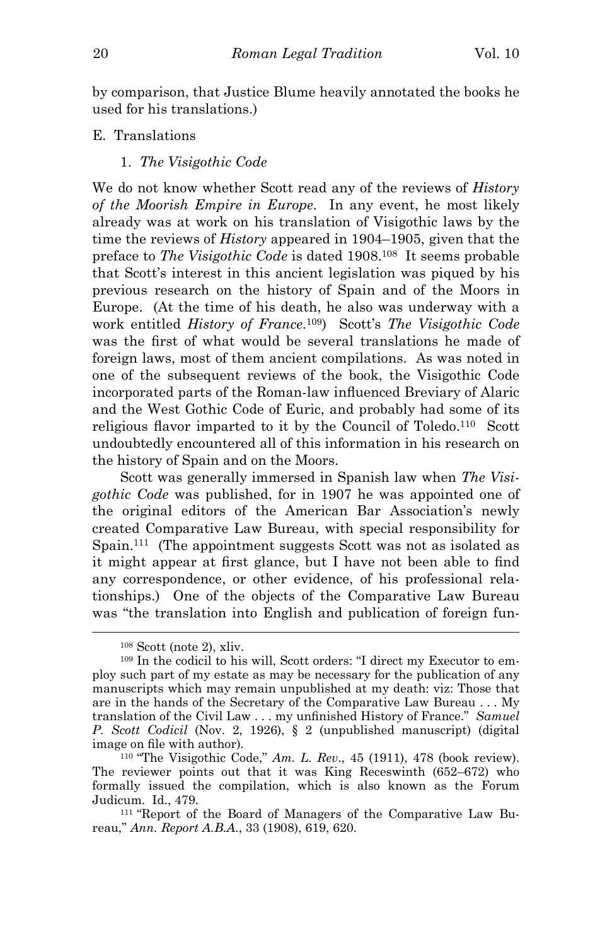by comparison, that Justice Blume heavily annotated the books he used for his translations.)

E. Translations

1. *The Visigothic Code*

We do not know whether Scott read any of the reviews of *History of the Moorish Empire in Europe*. In any event, he most likely already was at work on his translation of Visigothic laws by the time the reviews of *History* appeared in 1904–1905, given that the preface to *The Visigothic Code* is dated 1908.<sup>108</sup> It seems probable that Scott's interest in this ancient legislation was piqued by his previous research on the history of Spain and of the Moors in Europe. (At the time of his death, he also was underway with a work entitled *History of France*. <sup>109</sup>) Scott's *The Visigothic Code* was the first of what would be several translations he made of foreign laws, most of them ancient compilations. As was noted in one of the subsequent reviews of the book, the Visigothic Code incorporated parts of the Roman-law influenced Breviary of Alaric and the West Gothic Code of Euric, and probably had some of its religious flavor imparted to it by the Council of Toledo.<sup>110</sup> Scott undoubtedly encountered all of this information in his research on the history of Spain and on the Moors.

Scott was generally immersed in Spanish law when *The Visigothic Code* was published, for in 1907 he was appointed one of the original editors of the American Bar Association's newly created Comparative Law Bureau, with special responsibility for Spain.<sup>111</sup> (The appointment suggests Scott was not as isolated as it might appear at first glance, but I have not been able to find any correspondence, or other evidence, of his professional relationships.) One of the objects of the Comparative Law Bureau was "the translation into English and publication of foreign fun-

i<br>L

<sup>110</sup> "The Visigothic Code," *Am. L. Rev*., 45 (1911), 478 (book review). The reviewer points out that it was King Receswinth (652–672) who formally issued the compilation, which is also known as the Forum Judicum. Id., 479.

111 "Report of the Board of Managers of the Comparative Law Bureau," *Ann. Report A.B.A*., 33 (1908), 619, 620.

<sup>108</sup> Scott (note 2), xliv.

<sup>109</sup> In the codicil to his will, Scott orders: "I direct my Executor to employ such part of my estate as may be necessary for the publication of any manuscripts which may remain unpublished at my death: viz: Those that are in the hands of the Secretary of the Comparative Law Bureau . . . My translation of the Civil Law . . . my unfinished History of France." *Samuel P. Scott Codicil* (Nov. 2, 1926), § 2 (unpublished manuscript) (digital image on file with author).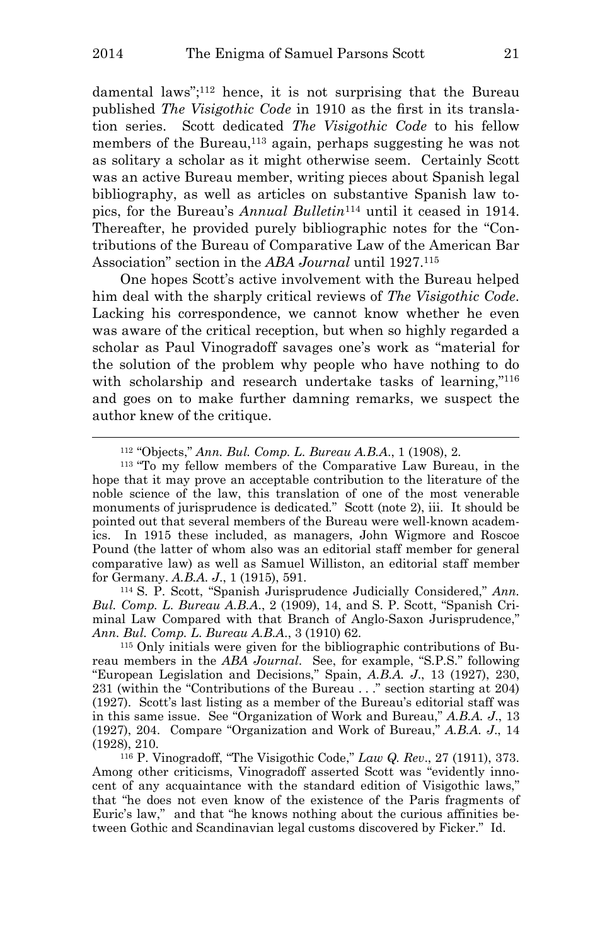damental laws";<sup>112</sup> hence, it is not surprising that the Bureau published *The Visigothic Code* in 1910 as the first in its translation series. Scott dedicated *The Visigothic Code* to his fellow members of the Bureau,<sup>113</sup> again, perhaps suggesting he was not as solitary a scholar as it might otherwise seem. Certainly Scott was an active Bureau member, writing pieces about Spanish legal bibliography, as well as articles on substantive Spanish law topics, for the Bureau's *Annual Bulletin*<sup>114</sup> until it ceased in 1914. Thereafter, he provided purely bibliographic notes for the "Contributions of the Bureau of Comparative Law of the American Bar Association" section in the *ABA Journal* until 1927.<sup>115</sup>

One hopes Scott's active involvement with the Bureau helped him deal with the sharply critical reviews of *The Visigothic Code*. Lacking his correspondence, we cannot know whether he even was aware of the critical reception, but when so highly regarded a scholar as Paul Vinogradoff savages one's work as "material for the solution of the problem why people who have nothing to do with scholarship and research undertake tasks of learning,"<sup>116</sup> and goes on to make further damning remarks, we suspect the author knew of the critique.

<sup>114</sup> S. P. Scott, "Spanish Jurisprudence Judicially Considered," *Ann. Bul. Comp. L. Bureau A.B.A*., 2 (1909), 14, and S. P. Scott, "Spanish Criminal Law Compared with that Branch of Anglo-Saxon Jurisprudence," *Ann. Bul. Comp. L. Bureau A.B.A*., 3 (1910) 62.

115 Only initials were given for the bibliographic contributions of Bureau members in the *ABA Journal*. See, for example, "S.P.S." following "European Legislation and Decisions," Spain, *A.B.A. J*., 13 (1927), 230, 231 (within the "Contributions of the Bureau . . ." section starting at 204) (1927). Scott's last listing as a member of the Bureau's editorial staff was in this same issue. See "Organization of Work and Bureau," *A.B.A. J*., 13 (1927), 204. Compare "Organization and Work of Bureau," *A.B.A. J*., 14 (1928), 210.

<sup>112</sup> "Objects," *Ann. Bul. Comp. L. Bureau A.B.A*., 1 (1908), 2.

<sup>113</sup> "To my fellow members of the Comparative Law Bureau, in the hope that it may prove an acceptable contribution to the literature of the noble science of the law, this translation of one of the most venerable monuments of jurisprudence is dedicated." Scott (note 2), iii. It should be pointed out that several members of the Bureau were well-known academics. In 1915 these included, as managers, John Wigmore and Roscoe Pound (the latter of whom also was an editorial staff member for general comparative law) as well as Samuel Williston, an editorial staff member for Germany. *A.B.A. J*., 1 (1915), 591.

<sup>116</sup> P. Vinogradoff, "The Visigothic Code," *Law Q. Rev*., 27 (1911), 373. Among other criticisms, Vinogradoff asserted Scott was "evidently innocent of any acquaintance with the standard edition of Visigothic laws," that "he does not even know of the existence of the Paris fragments of Euric's law," and that "he knows nothing about the curious affinities between Gothic and Scandinavian legal customs discovered by Ficker." Id.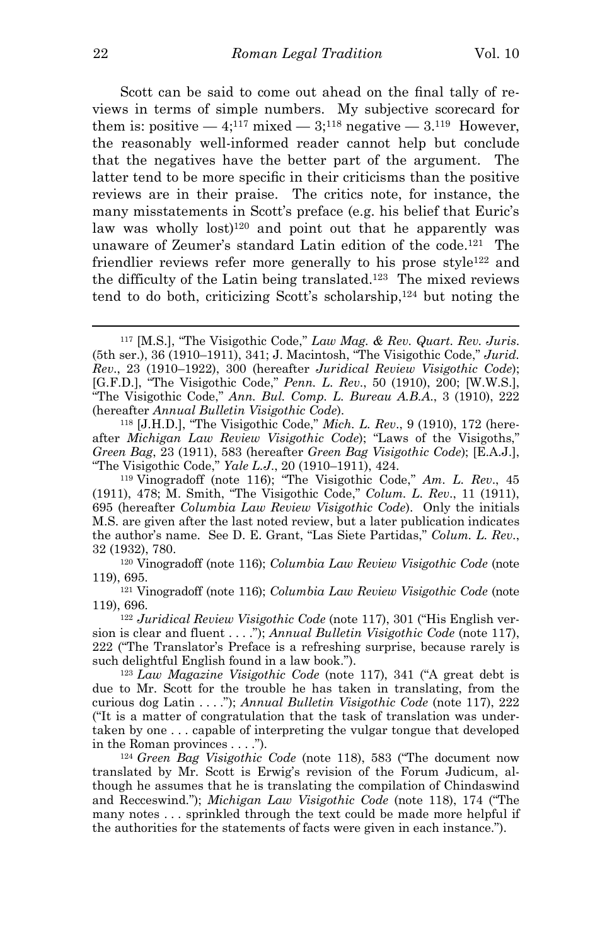Scott can be said to come out ahead on the final tally of reviews in terms of simple numbers. My subjective scorecard for them is: positive  $-4$ ;<sup>117</sup> mixed  $-3$ ;<sup>118</sup> negative  $-3$ .<sup>119</sup> However, the reasonably well-informed reader cannot help but conclude that the negatives have the better part of the argument. The latter tend to be more specific in their criticisms than the positive reviews are in their praise. The critics note, for instance, the many misstatements in Scott's preface (e.g. his belief that Euric's law was wholly  $lost)^{120}$  and point out that he apparently was unaware of Zeumer's standard Latin edition of the code.<sup>121</sup> The friendlier reviews refer more generally to his prose style<sup>122</sup> and the difficulty of the Latin being translated.<sup>123</sup> The mixed reviews tend to do both, criticizing Scott's scholarship,<sup>124</sup> but noting the

118 [J.H.D.], "The Visigothic Code," *Mich. L. Rev*., 9 (1910), 172 (hereafter *Michigan Law Review Visigothic Code*); "Laws of the Visigoths," *Green Bag*, 23 (1911), 583 (hereafter *Green Bag Visigothic Code*); [E.A.J.], "The Visigothic Code," *Yale L.J*., 20 (1910–1911), 424.

<sup>119</sup> Vinogradoff (note 116); "The Visigothic Code," *Am. L. Rev*., 45 (1911), 478; M. Smith, "The Visigothic Code," *Colum. L. Rev*., 11 (1911), 695 (hereafter *Columbia Law Review Visigothic Code*). Only the initials M.S. are given after the last noted review, but a later publication indicates the author's name. See D. E. Grant, "Las Siete Partidas," *Colum. L. Rev*., 32 (1932), 780.

<sup>120</sup> Vinogradoff (note 116); *Columbia Law Review Visigothic Code* (note 119), 695.

<sup>121</sup> Vinogradoff (note 116); *Columbia Law Review Visigothic Code* (note 119), 696.

<sup>122</sup> *Juridical Review Visigothic Code* (note 117), 301 ("His English version is clear and fluent . . . ."); *Annual Bulletin Visigothic Code* (note 117), 222 ("The Translator's Preface is a refreshing surprise, because rarely is such delightful English found in a law book.").

<sup>123</sup> *Law Magazine Visigothic Code* (note 117), 341 ("A great debt is due to Mr. Scott for the trouble he has taken in translating, from the curious dog Latin . . . ."); *Annual Bulletin Visigothic Code* (note 117), 222 ("It is a matter of congratulation that the task of translation was undertaken by one . . . capable of interpreting the vulgar tongue that developed in the Roman provinces . . . .").

<sup>124</sup> *Green Bag Visigothic Code* (note 118), 583 ("The document now translated by Mr. Scott is Erwig's revision of the Forum Judicum, although he assumes that he is translating the compilation of Chindaswind and Recceswind."); *Michigan Law Visigothic Code* (note 118), 174 ("The many notes . . . sprinkled through the text could be made more helpful if the authorities for the statements of facts were given in each instance.").

<sup>117</sup> [M.S.], "The Visigothic Code," *Law Mag. & Rev. Quart. Rev. Juris*. (5th ser.), 36 (1910–1911), 341; J. Macintosh, "The Visigothic Code," *Jurid. Rev*., 23 (1910–1922), 300 (hereafter *Juridical Review Visigothic Code*); [G.F.D.], "The Visigothic Code," *Penn. L. Rev*., 50 (1910), 200; [W.W.S.], "The Visigothic Code," *Ann. Bul. Comp. L. Bureau A.B.A*., 3 (1910), 222 (hereafter *Annual Bulletin Visigothic Code*).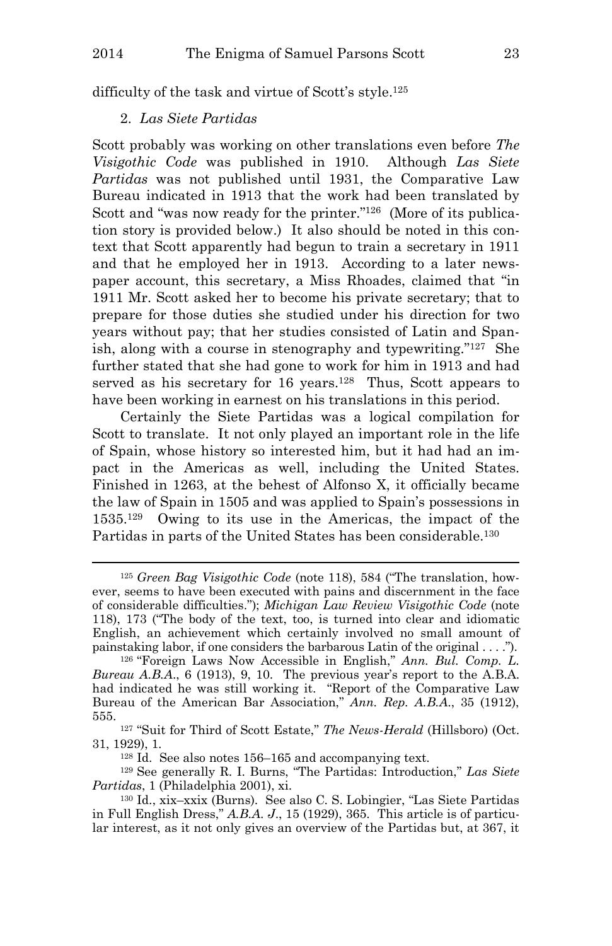difficulty of the task and virtue of Scott's style.<sup>125</sup>

## 2. *Las Siete Partidas*

i<br>L

Scott probably was working on other translations even before *The Visigothic Code* was published in 1910. Although *Las Siete Partidas* was not published until 1931, the Comparative Law Bureau indicated in 1913 that the work had been translated by Scott and "was now ready for the printer."<sup>126</sup> (More of its publication story is provided below.) It also should be noted in this context that Scott apparently had begun to train a secretary in 1911 and that he employed her in 1913. According to a later newspaper account, this secretary, a Miss Rhoades, claimed that "in 1911 Mr. Scott asked her to become his private secretary; that to prepare for those duties she studied under his direction for two years without pay; that her studies consisted of Latin and Spanish, along with a course in stenography and typewriting."<sup>127</sup> She further stated that she had gone to work for him in 1913 and had served as his secretary for 16 years.<sup>128</sup> Thus, Scott appears to have been working in earnest on his translations in this period.

Certainly the Siete Partidas was a logical compilation for Scott to translate. It not only played an important role in the life of Spain, whose history so interested him, but it had had an impact in the Americas as well, including the United States. Finished in 1263, at the behest of Alfonso X, it officially became the law of Spain in 1505 and was applied to Spain's possessions in 1535.<sup>129</sup> Owing to its use in the Americas, the impact of the Partidas in parts of the United States has been considerable.<sup>130</sup>

<sup>127</sup> "Suit for Third of Scott Estate," *The News-Herald* (Hillsboro) (Oct. 31, 1929), 1.

<sup>129</sup> See generally R. I. Burns, "The Partidas: Introduction," *Las Siete Partidas*, 1 (Philadelphia 2001), xi.

<sup>125</sup> *Green Bag Visigothic Code* (note 118), 584 ("The translation, however, seems to have been executed with pains and discernment in the face of considerable difficulties."); *Michigan Law Review Visigothic Code* (note 118), 173 ("The body of the text, too, is turned into clear and idiomatic English, an achievement which certainly involved no small amount of painstaking labor, if one considers the barbarous Latin of the original . . . .").

<sup>126</sup> "Foreign Laws Now Accessible in English," *Ann. Bul. Comp. L. Bureau A.B.A*., 6 (1913), 9, 10. The previous year's report to the A.B.A. had indicated he was still working it. "Report of the Comparative Law Bureau of the American Bar Association," *Ann. Rep. A.B.A*., 35 (1912), 555.

<sup>128</sup> Id. See also notes 156–165 and accompanying text.

<sup>130</sup> Id., xix–xxix (Burns). See also C. S. Lobingier, "Las Siete Partidas in Full English Dress," *A.B.A. J*., 15 (1929), 365. This article is of particular interest, as it not only gives an overview of the Partidas but, at 367, it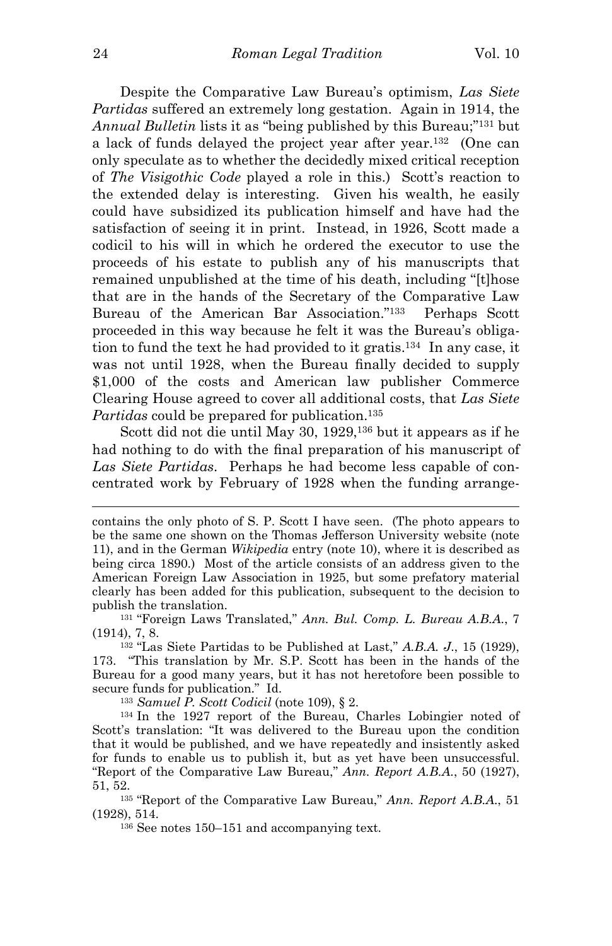Despite the Comparative Law Bureau's optimism, *Las Siete Partidas* suffered an extremely long gestation. Again in 1914, the *Annual Bulletin* lists it as "being published by this Bureau;"<sup>131</sup> but a lack of funds delayed the project year after year. <sup>132</sup> (One can only speculate as to whether the decidedly mixed critical reception of *The Visigothic Code* played a role in this.) Scott's reaction to the extended delay is interesting. Given his wealth, he easily could have subsidized its publication himself and have had the satisfaction of seeing it in print. Instead, in 1926, Scott made a codicil to his will in which he ordered the executor to use the proceeds of his estate to publish any of his manuscripts that remained unpublished at the time of his death, including "[t]hose that are in the hands of the Secretary of the Comparative Law Bureau of the American Bar Association."<sup>133</sup> Perhaps Scott proceeded in this way because he felt it was the Bureau's obligation to fund the text he had provided to it gratis.<sup>134</sup> In any case, it was not until 1928, when the Bureau finally decided to supply \$1,000 of the costs and American law publisher Commerce Clearing House agreed to cover all additional costs, that *Las Siete Partidas* could be prepared for publication.<sup>135</sup>

Scott did not die until May 30, 1929,<sup>136</sup> but it appears as if he had nothing to do with the final preparation of his manuscript of *Las Siete Partidas*. Perhaps he had become less capable of concentrated work by February of 1928 when the funding arrange-

contains the only photo of S. P. Scott I have seen. (The photo appears to be the same one shown on the Thomas Jefferson University website (note 11), and in the German *Wikipedia* entry (note 10), where it is described as being circa 1890.) Most of the article consists of an address given to the American Foreign Law Association in 1925, but some prefatory material clearly has been added for this publication, subsequent to the decision to publish the translation.

<sup>131</sup> "Foreign Laws Translated," *Ann. Bul. Comp. L. Bureau A.B.A*., 7 (1914), 7, 8.

<sup>132</sup> "Las Siete Partidas to be Published at Last," *A.B.A. J*., 15 (1929), 173. "This translation by Mr. S.P. Scott has been in the hands of the Bureau for a good many years, but it has not heretofore been possible to secure funds for publication." Id.

<sup>133</sup> *Samuel P. Scott Codicil* (note 109), § 2.

<sup>134</sup> In the 1927 report of the Bureau, Charles Lobingier noted of Scott's translation: "It was delivered to the Bureau upon the condition that it would be published, and we have repeatedly and insistently asked for funds to enable us to publish it, but as yet have been unsuccessful. "Report of the Comparative Law Bureau," *Ann. Report A.B.A*., 50 (1927), 51, 52.

<sup>135</sup> "Report of the Comparative Law Bureau," *Ann. Report A.B.A*., 51 (1928), 514.

<sup>136</sup> See notes 150–151 and accompanying text.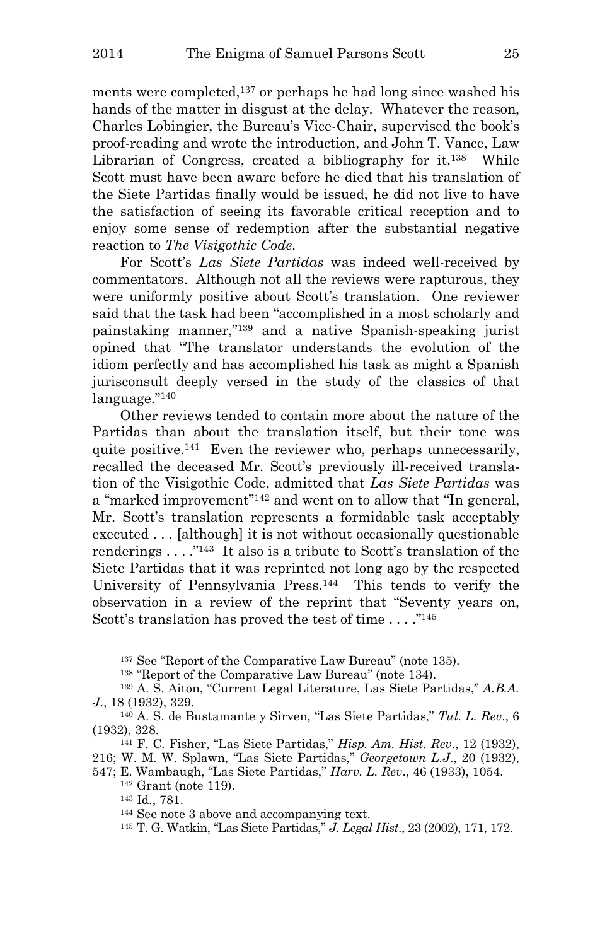ments were completed,<sup>137</sup> or perhaps he had long since washed his hands of the matter in disgust at the delay. Whatever the reason, Charles Lobingier, the Bureau's Vice-Chair, supervised the book's proof-reading and wrote the introduction, and John T. Vance, Law Librarian of Congress, created a bibliography for it.<sup>138</sup> While Scott must have been aware before he died that his translation of the Siete Partidas finally would be issued, he did not live to have the satisfaction of seeing its favorable critical reception and to enjoy some sense of redemption after the substantial negative reaction to *The Visigothic Code*.

For Scott's *Las Siete Partidas* was indeed well-received by commentators. Although not all the reviews were rapturous, they were uniformly positive about Scott's translation. One reviewer said that the task had been "accomplished in a most scholarly and painstaking manner,"<sup>139</sup> and a native Spanish-speaking jurist opined that "The translator understands the evolution of the idiom perfectly and has accomplished his task as might a Spanish jurisconsult deeply versed in the study of the classics of that language."<sup>140</sup>

Other reviews tended to contain more about the nature of the Partidas than about the translation itself, but their tone was quite positive.<sup>141</sup> Even the reviewer who, perhaps unnecessarily, recalled the deceased Mr. Scott's previously ill-received translation of the Visigothic Code, admitted that *Las Siete Partidas* was a "marked improvement"<sup>142</sup> and went on to allow that "In general, Mr. Scott's translation represents a formidable task acceptably executed . . . [although] it is not without occasionally questionable renderings  $\dots$ ."<sup>143</sup> It also is a tribute to Scott's translation of the Siete Partidas that it was reprinted not long ago by the respected University of Pennsylvania Press.<sup>144</sup> This tends to verify the observation in a review of the reprint that "Seventy years on, Scott's translation has proved the test of time . . . ."<sup>145</sup>

<sup>142</sup> Grant (note 119).

<sup>137</sup> See "Report of the Comparative Law Bureau" (note 135).

<sup>138</sup> "Report of the Comparative Law Bureau" (note 134).

<sup>139</sup> A. S. Aiton, "Current Legal Literature, Las Siete Partidas," *A.B.A. J*., 18 (1932), 329.

<sup>140</sup> A. S. de Bustamante y Sirven, "Las Siete Partidas," *Tul. L. Rev*., 6 (1932), 328.

<sup>141</sup> F. C. Fisher, "Las Siete Partidas," *Hisp. Am. Hist. Rev*., 12 (1932),

<sup>216;</sup> W. M. W. Splawn, "Las Siete Partidas," *Georgetown L.J*., 20 (1932), 547; E. Wambaugh, "Las Siete Partidas," *Harv. L. Rev*., 46 (1933), 1054.

<sup>143</sup> Id., 781.

<sup>144</sup> See note 3 above and accompanying text.

<sup>145</sup> T. G. Watkin, "Las Siete Partidas," *J. Legal Hist*., 23 (2002), 171, 172.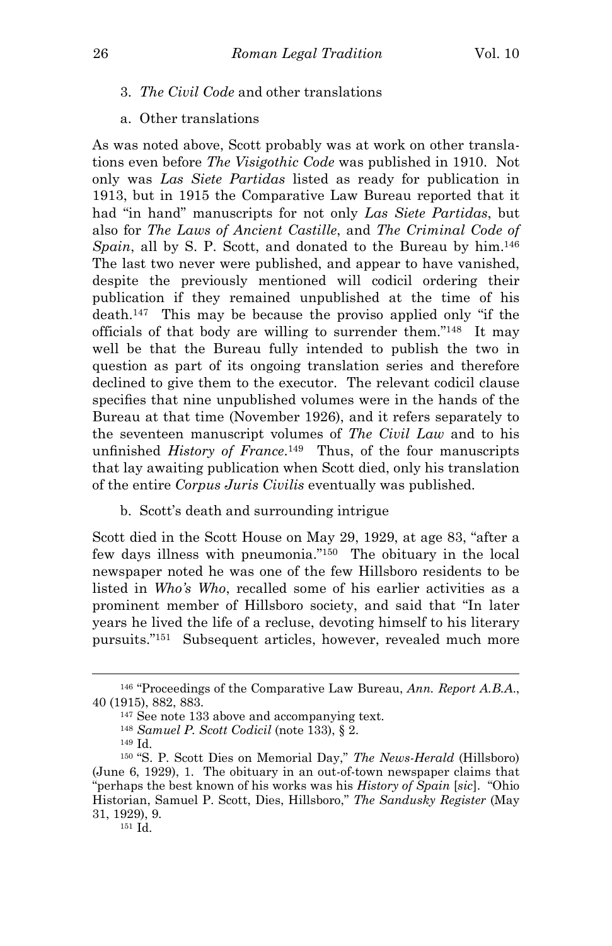- 3. *The Civil Code* and other translations
- a. Other translations

As was noted above, Scott probably was at work on other translations even before *The Visigothic Code* was published in 1910. Not only was *Las Siete Partidas* listed as ready for publication in 1913, but in 1915 the Comparative Law Bureau reported that it had "in hand" manuscripts for not only *Las Siete Partidas*, but also for *The Laws of Ancient Castille*, and *The Criminal Code of Spain*, all by S. P. Scott, and donated to the Bureau by him.<sup>146</sup> The last two never were published, and appear to have vanished, despite the previously mentioned will codicil ordering their publication if they remained unpublished at the time of his death.<sup>147</sup> This may be because the proviso applied only "if the officials of that body are willing to surrender them."<sup>148</sup> It may well be that the Bureau fully intended to publish the two in question as part of its ongoing translation series and therefore declined to give them to the executor. The relevant codicil clause specifies that nine unpublished volumes were in the hands of the Bureau at that time (November 1926), and it refers separately to the seventeen manuscript volumes of *The Civil Law* and to his unfinished *History of France*. <sup>149</sup> Thus, of the four manuscripts that lay awaiting publication when Scott died, only his translation of the entire *Corpus Juris Civilis* eventually was published.

b. Scott's death and surrounding intrigue

Scott died in the Scott House on May 29, 1929, at age 83, "after a few days illness with pneumonia."<sup>150</sup> The obituary in the local newspaper noted he was one of the few Hillsboro residents to be listed in *Who's Who*, recalled some of his earlier activities as a prominent member of Hillsboro society, and said that "In later years he lived the life of a recluse, devoting himself to his literary pursuits."<sup>151</sup> Subsequent articles, however, revealed much more

i<br>L

151 Id.

<sup>146</sup> "Proceedings of the Comparative Law Bureau, *Ann. Report A.B.A*., 40 (1915), 882, 883.

<sup>147</sup> See note 133 above and accompanying text.

<sup>148</sup> *Samuel P. Scott Codicil* (note 133), § 2.

<sup>149</sup> Id.

<sup>150</sup> "S. P. Scott Dies on Memorial Day," *The News-Herald* (Hillsboro) (June 6, 1929), 1. The obituary in an out-of-town newspaper claims that "perhaps the best known of his works was his *History of Spain* [*sic*]. "Ohio Historian, Samuel P. Scott, Dies, Hillsboro," *The Sandusky Register* (May 31, 1929), 9.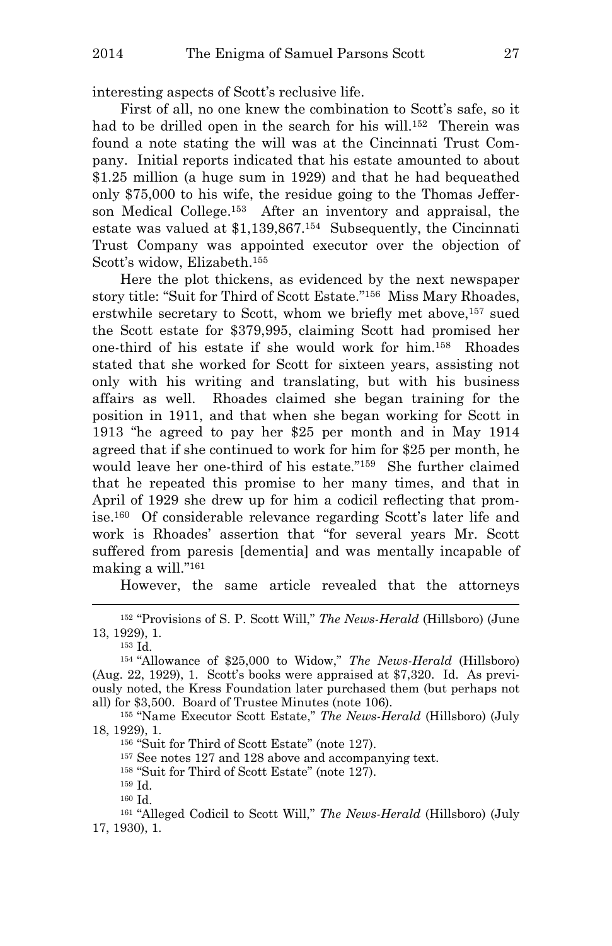interesting aspects of Scott's reclusive life.

First of all, no one knew the combination to Scott's safe, so it had to be drilled open in the search for his will.<sup>152</sup> Therein was found a note stating the will was at the Cincinnati Trust Company. Initial reports indicated that his estate amounted to about \$1.25 million (a huge sum in 1929) and that he had bequeathed only \$75,000 to his wife, the residue going to the Thomas Jefferson Medical College.<sup>153</sup> After an inventory and appraisal, the estate was valued at \$1,139,867.<sup>154</sup> Subsequently, the Cincinnati Trust Company was appointed executor over the objection of Scott's widow, Elizabeth.<sup>155</sup>

Here the plot thickens, as evidenced by the next newspaper story title: "Suit for Third of Scott Estate."<sup>156</sup> Miss Mary Rhoades, erstwhile secretary to Scott, whom we briefly met above,<sup>157</sup> sued the Scott estate for \$379,995, claiming Scott had promised her one-third of his estate if she would work for him.<sup>158</sup> Rhoades stated that she worked for Scott for sixteen years, assisting not only with his writing and translating, but with his business affairs as well. Rhoades claimed she began training for the position in 1911, and that when she began working for Scott in 1913 "he agreed to pay her \$25 per month and in May 1914 agreed that if she continued to work for him for \$25 per month, he would leave her one-third of his estate."<sup>159</sup> She further claimed that he repeated this promise to her many times, and that in April of 1929 she drew up for him a codicil reflecting that promise.<sup>160</sup> Of considerable relevance regarding Scott's later life and work is Rhoades' assertion that "for several years Mr. Scott suffered from paresis [dementia] and was mentally incapable of making a will."<sup>161</sup>

However, the same article revealed that the attorneys

<sup>152</sup> "Provisions of S. P. Scott Will," *The News-Herald* (Hillsboro) (June 13, 1929), 1.

<sup>153</sup> Id.

i<br>L

<sup>155</sup> "Name Executor Scott Estate," *The News-Herald* (Hillsboro) (July 18, 1929), 1.

<sup>157</sup> See notes 127 and 128 above and accompanying text.

<sup>158</sup> "Suit for Third of Scott Estate" (note 127).

<sup>159</sup> Id.

<sup>160</sup> Id.

<sup>161</sup> "Alleged Codicil to Scott Will," *The News-Herald* (Hillsboro) (July 17, 1930), 1.

<sup>154</sup> "Allowance of \$25,000 to Widow," *The News-Herald* (Hillsboro) (Aug. 22, 1929), 1. Scott's books were appraised at \$7,320. Id. As previously noted, the Kress Foundation later purchased them (but perhaps not all) for \$3,500. Board of Trustee Minutes (note 106).

<sup>156</sup> "Suit for Third of Scott Estate" (note 127).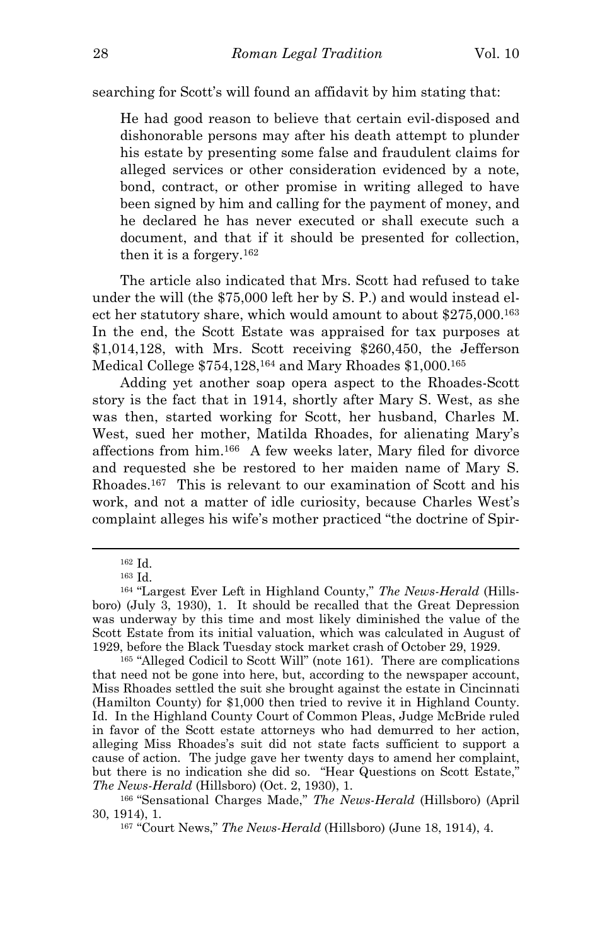searching for Scott's will found an affidavit by him stating that:

He had good reason to believe that certain evil-disposed and dishonorable persons may after his death attempt to plunder his estate by presenting some false and fraudulent claims for alleged services or other consideration evidenced by a note, bond, contract, or other promise in writing alleged to have been signed by him and calling for the payment of money, and he declared he has never executed or shall execute such a document, and that if it should be presented for collection, then it is a forgery.<sup>162</sup>

The article also indicated that Mrs. Scott had refused to take under the will (the \$75,000 left her by S. P.) and would instead elect her statutory share, which would amount to about \$275,000.<sup>163</sup> In the end, the Scott Estate was appraised for tax purposes at \$1,014,128, with Mrs. Scott receiving \$260,450, the Jefferson Medical College \$754,128,<sup>164</sup> and Mary Rhoades \$1,000.<sup>165</sup>

Adding yet another soap opera aspect to the Rhoades-Scott story is the fact that in 1914, shortly after Mary S. West, as she was then, started working for Scott, her husband, Charles M. West, sued her mother, Matilda Rhoades, for alienating Mary's affections from him.<sup>166</sup> A few weeks later, Mary filed for divorce and requested she be restored to her maiden name of Mary S. Rhoades.<sup>167</sup> This is relevant to our examination of Scott and his work, and not a matter of idle curiosity, because Charles West's complaint alleges his wife's mother practiced "the doctrine of Spir-

<sup>162</sup> Id.

<sup>163</sup> Id.

<sup>164</sup> "Largest Ever Left in Highland County," *The News-Herald* (Hillsboro) (July 3, 1930), 1. It should be recalled that the Great Depression was underway by this time and most likely diminished the value of the Scott Estate from its initial valuation, which was calculated in August of 1929, before the Black Tuesday stock market crash of October 29, 1929.

<sup>165</sup> "Alleged Codicil to Scott Will" (note 161). There are complications that need not be gone into here, but, according to the newspaper account, Miss Rhoades settled the suit she brought against the estate in Cincinnati (Hamilton County) for \$1,000 then tried to revive it in Highland County. Id. In the Highland County Court of Common Pleas, Judge McBride ruled in favor of the Scott estate attorneys who had demurred to her action, alleging Miss Rhoades's suit did not state facts sufficient to support a cause of action. The judge gave her twenty days to amend her complaint, but there is no indication she did so. "Hear Questions on Scott Estate," *The News-Herald* (Hillsboro) (Oct. 2, 1930), 1.

<sup>166</sup> "Sensational Charges Made," *The News-Herald* (Hillsboro) (April 30, 1914), 1.

<sup>167</sup> "Court News," *The News-Herald* (Hillsboro) (June 18, 1914), 4.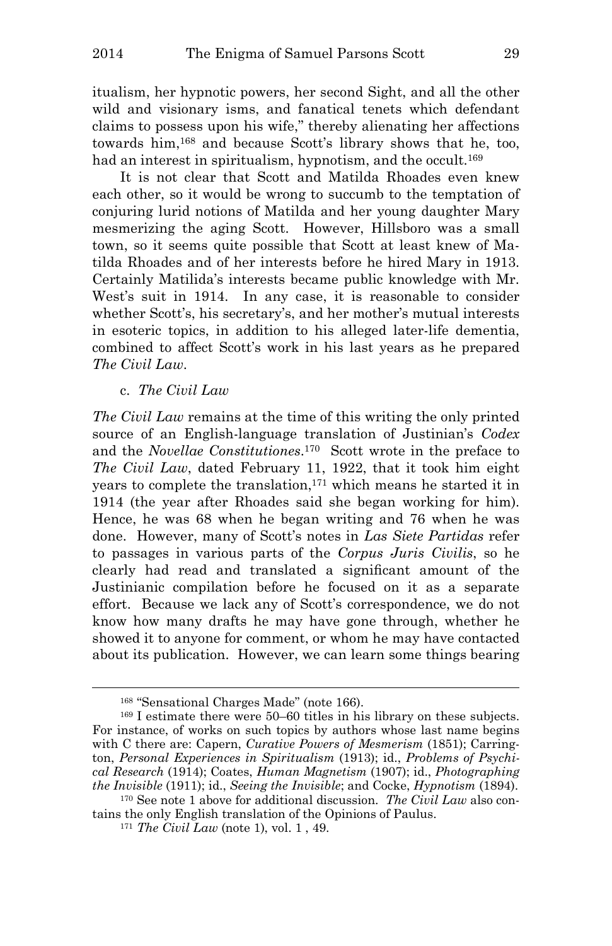itualism, her hypnotic powers, her second Sight, and all the other wild and visionary isms, and fanatical tenets which defendant claims to possess upon his wife," thereby alienating her affections towards him,<sup>168</sup> and because Scott's library shows that he, too, had an interest in spiritualism, hypnotism, and the occult.<sup>169</sup>

It is not clear that Scott and Matilda Rhoades even knew each other, so it would be wrong to succumb to the temptation of conjuring lurid notions of Matilda and her young daughter Mary mesmerizing the aging Scott. However, Hillsboro was a small town, so it seems quite possible that Scott at least knew of Matilda Rhoades and of her interests before he hired Mary in 1913. Certainly Matilida's interests became public knowledge with Mr. West's suit in 1914. In any case, it is reasonable to consider whether Scott's, his secretary's, and her mother's mutual interests in esoteric topics, in addition to his alleged later-life dementia, combined to affect Scott's work in his last years as he prepared *The Civil Law*.

c. *The Civil Law*

i<br>L

*The Civil Law* remains at the time of this writing the only printed source of an English-language translation of Justinian's *Codex* and the *Novellae Constitutiones*. <sup>170</sup> Scott wrote in the preface to *The Civil Law*, dated February 11, 1922, that it took him eight years to complete the translation,<sup>171</sup> which means he started it in 1914 (the year after Rhoades said she began working for him). Hence, he was 68 when he began writing and 76 when he was done. However, many of Scott's notes in *Las Siete Partidas* refer to passages in various parts of the *Corpus Juris Civilis*, so he clearly had read and translated a significant amount of the Justinianic compilation before he focused on it as a separate effort. Because we lack any of Scott's correspondence, we do not know how many drafts he may have gone through, whether he showed it to anyone for comment, or whom he may have contacted about its publication. However, we can learn some things bearing

<sup>168</sup> "Sensational Charges Made" (note 166).

<sup>169</sup> I estimate there were 50–60 titles in his library on these subjects. For instance, of works on such topics by authors whose last name begins with C there are: Capern, *Curative Powers of Mesmerism* (1851); Carrington, *Personal Experiences in Spiritualism* (1913); id., *Problems of Psychical Research* (1914); Coates, *Human Magnetism* (1907); id., *Photographing the Invisible* (1911); id., *Seeing the Invisible*; and Cocke, *Hypnotism* (1894).

<sup>170</sup> See note 1 above for additional discussion. *The Civil Law* also contains the only English translation of the Opinions of Paulus.

<sup>171</sup> *The Civil Law* (note 1), vol. 1 , 49.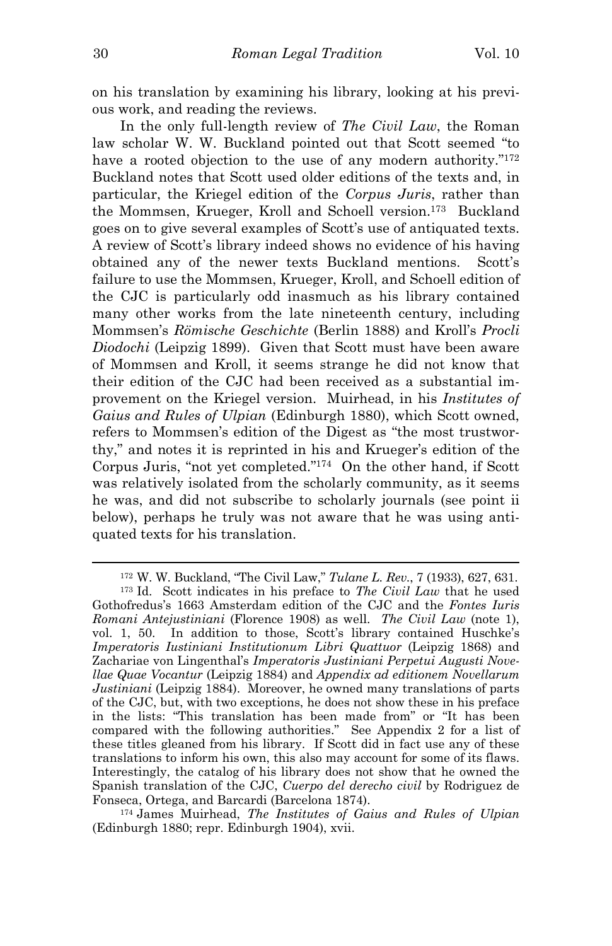on his translation by examining his library, looking at his previous work, and reading the reviews.

In the only full-length review of *The Civil Law*, the Roman law scholar W. W. Buckland pointed out that Scott seemed "to have a rooted objection to the use of any modern authority."<sup>172</sup> Buckland notes that Scott used older editions of the texts and, in particular, the Kriegel edition of the *Corpus Juris*, rather than the Mommsen, Krueger, Kroll and Schoell version.<sup>173</sup> Buckland goes on to give several examples of Scott's use of antiquated texts. A review of Scott's library indeed shows no evidence of his having obtained any of the newer texts Buckland mentions. Scott's failure to use the Mommsen, Krueger, Kroll, and Schoell edition of the CJC is particularly odd inasmuch as his library contained many other works from the late nineteenth century, including Mommsen's *Römische Geschichte* (Berlin 1888) and Kroll's *Procli Diodochi* (Leipzig 1899). Given that Scott must have been aware of Mommsen and Kroll, it seems strange he did not know that their edition of the CJC had been received as a substantial improvement on the Kriegel version. Muirhead, in his *Institutes of Gaius and Rules of Ulpian* (Edinburgh 1880), which Scott owned, refers to Mommsen's edition of the Digest as "the most trustworthy," and notes it is reprinted in his and Krueger's edition of the Corpus Juris, "not yet completed."<sup>174</sup> On the other hand, if Scott was relatively isolated from the scholarly community, as it seems he was, and did not subscribe to scholarly journals (see point ii below), perhaps he truly was not aware that he was using antiquated texts for his translation.

<sup>172</sup> W. W. Buckland, "The Civil Law," *Tulane L. Rev*., 7 (1933), 627, 631.

<sup>173</sup> Id. Scott indicates in his preface to *The Civil Law* that he used Gothofredus's 1663 Amsterdam edition of the CJC and the *Fontes Iuris Romani Antejustiniani* (Florence 1908) as well. *The Civil Law* (note 1), vol. 1, 50. In addition to those, Scott's library contained Huschke's *Imperatoris Iustiniani Institutionum Libri Quattuor* (Leipzig 1868) and Zachariae von Lingenthal's *Imperatoris Justiniani Perpetui Augusti Novellae Quae Vocantur* (Leipzig 1884) and *Appendix ad editionem Novellarum Justiniani* (Leipzig 1884). Moreover, he owned many translations of parts of the CJC, but, with two exceptions, he does not show these in his preface in the lists: "This translation has been made from" or "It has been compared with the following authorities." See Appendix 2 for a list of these titles gleaned from his library. If Scott did in fact use any of these translations to inform his own, this also may account for some of its flaws. Interestingly, the catalog of his library does not show that he owned the Spanish translation of the CJC, *Cuerpo del derecho civil* by Rodriguez de Fonseca, Ortega, and Barcardi (Barcelona 1874).

<sup>174</sup> James Muirhead, *The Institutes of Gaius and Rules of Ulpian* (Edinburgh 1880; repr. Edinburgh 1904), xvii.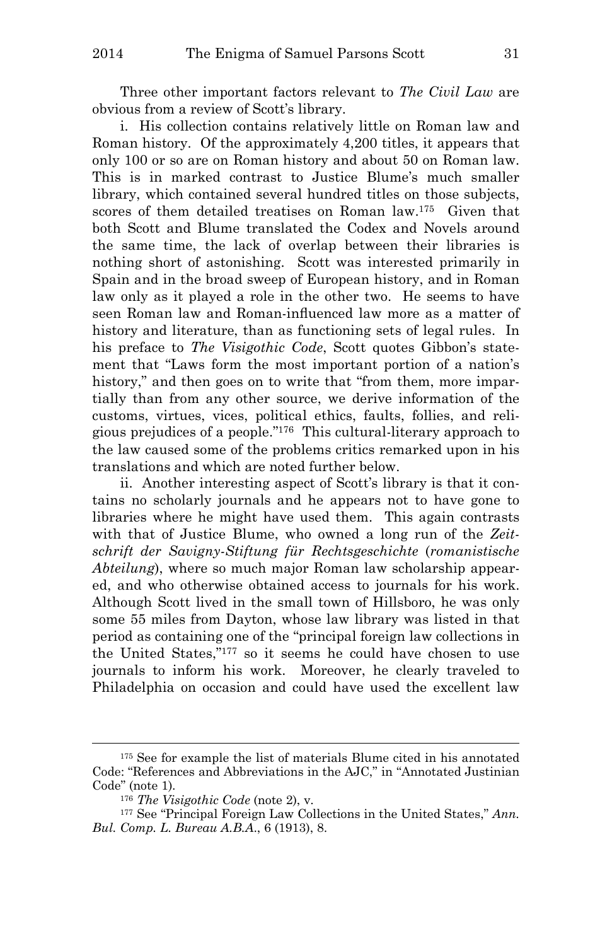Three other important factors relevant to *The Civil Law* are obvious from a review of Scott's library.

i. His collection contains relatively little on Roman law and Roman history. Of the approximately 4,200 titles, it appears that only 100 or so are on Roman history and about 50 on Roman law. This is in marked contrast to Justice Blume's much smaller library, which contained several hundred titles on those subjects, scores of them detailed treatises on Roman law.<sup>175</sup> Given that both Scott and Blume translated the Codex and Novels around the same time, the lack of overlap between their libraries is nothing short of astonishing. Scott was interested primarily in Spain and in the broad sweep of European history, and in Roman law only as it played a role in the other two. He seems to have seen Roman law and Roman-influenced law more as a matter of history and literature, than as functioning sets of legal rules. In his preface to *The Visigothic Code*, Scott quotes Gibbon's statement that "Laws form the most important portion of a nation's history," and then goes on to write that "from them, more impartially than from any other source, we derive information of the customs, virtues, vices, political ethics, faults, follies, and religious prejudices of a people."<sup>176</sup> This cultural-literary approach to the law caused some of the problems critics remarked upon in his translations and which are noted further below.

ii. Another interesting aspect of Scott's library is that it contains no scholarly journals and he appears not to have gone to libraries where he might have used them. This again contrasts with that of Justice Blume, who owned a long run of the *Zeitschrift der Savigny-Stiftung für Rechtsgeschichte* (*romanistische Abteilung*), where so much major Roman law scholarship appeared, and who otherwise obtained access to journals for his work. Although Scott lived in the small town of Hillsboro, he was only some 55 miles from Dayton, whose law library was listed in that period as containing one of the "principal foreign law collections in the United States,"<sup>177</sup> so it seems he could have chosen to use journals to inform his work. Moreover, he clearly traveled to Philadelphia on occasion and could have used the excellent law

<sup>175</sup> See for example the list of materials Blume cited in his annotated Code: "References and Abbreviations in the AJC," in "Annotated Justinian Code" (note 1).

<sup>176</sup> *The Visigothic Code* (note 2), v.

<sup>177</sup> See "Principal Foreign Law Collections in the United States," *Ann. Bul. Comp. L. Bureau A.B.A*., 6 (1913), 8.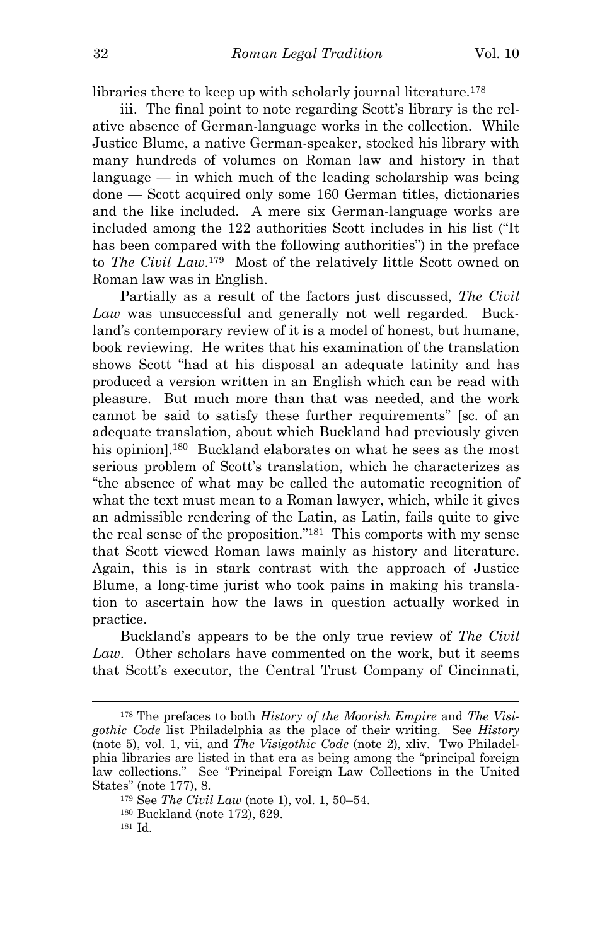libraries there to keep up with scholarly journal literature.<sup>178</sup>

iii. The final point to note regarding Scott's library is the relative absence of German-language works in the collection. While Justice Blume, a native German-speaker, stocked his library with many hundreds of volumes on Roman law and history in that language  $-$  in which much of the leading scholarship was being done — Scott acquired only some 160 German titles, dictionaries and the like included. A mere six German-language works are included among the 122 authorities Scott includes in his list ("It has been compared with the following authorities") in the preface to *The Civil Law*. <sup>179</sup> Most of the relatively little Scott owned on Roman law was in English.

Partially as a result of the factors just discussed, *The Civil Law* was unsuccessful and generally not well regarded. Buckland's contemporary review of it is a model of honest, but humane, book reviewing. He writes that his examination of the translation shows Scott "had at his disposal an adequate latinity and has produced a version written in an English which can be read with pleasure. But much more than that was needed, and the work cannot be said to satisfy these further requirements" [sc. of an adequate translation, about which Buckland had previously given his opinion].<sup>180</sup> Buckland elaborates on what he sees as the most serious problem of Scott's translation, which he characterizes as "the absence of what may be called the automatic recognition of what the text must mean to a Roman lawyer, which, while it gives an admissible rendering of the Latin, as Latin, fails quite to give the real sense of the proposition."<sup>181</sup> This comports with my sense that Scott viewed Roman laws mainly as history and literature. Again, this is in stark contrast with the approach of Justice Blume, a long-time jurist who took pains in making his translation to ascertain how the laws in question actually worked in practice.

Buckland's appears to be the only true review of *The Civil Law*. Other scholars have commented on the work, but it seems that Scott's executor, the Central Trust Company of Cincinnati,

<sup>178</sup> The prefaces to both *History of the Moorish Empire* and *The Visigothic Code* list Philadelphia as the place of their writing. See *History* (note 5), vol. 1, vii, and *The Visigothic Code* (note 2), xliv. Two Philadelphia libraries are listed in that era as being among the "principal foreign law collections." See "Principal Foreign Law Collections in the United States" (note 177), 8.

<sup>179</sup> See *The Civil Law* (note 1), vol. 1, 50–54.

<sup>180</sup> Buckland (note 172), 629.

<sup>181</sup> Id.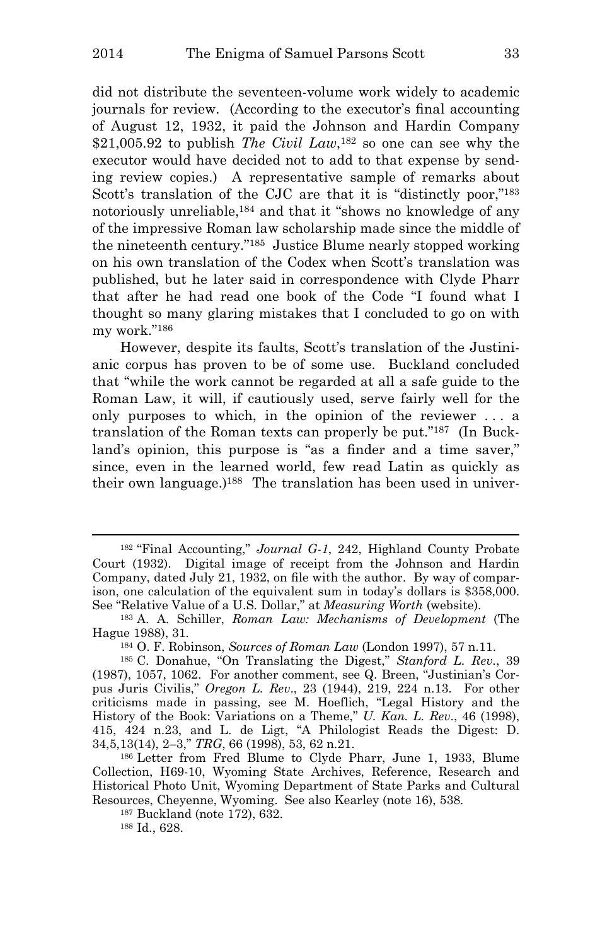did not distribute the seventeen-volume work widely to academic journals for review. (According to the executor's final accounting of August 12, 1932, it paid the Johnson and Hardin Company \$21,005.92 to publish *The Civil Law*,<sup>182</sup> so one can see why the executor would have decided not to add to that expense by sending review copies.) A representative sample of remarks about Scott's translation of the CJC are that it is "distinctly poor,"<sup>183</sup> notoriously unreliable,<sup>184</sup> and that it "shows no knowledge of any of the impressive Roman law scholarship made since the middle of the nineteenth century."<sup>185</sup> Justice Blume nearly stopped working on his own translation of the Codex when Scott's translation was published, but he later said in correspondence with Clyde Pharr that after he had read one book of the Code "I found what I thought so many glaring mistakes that I concluded to go on with my work."<sup>186</sup>

However, despite its faults, Scott's translation of the Justinianic corpus has proven to be of some use. Buckland concluded that "while the work cannot be regarded at all a safe guide to the Roman Law, it will, if cautiously used, serve fairly well for the only purposes to which, in the opinion of the reviewer . . . a translation of the Roman texts can properly be put." 187 (In Buckland's opinion, this purpose is "as a finder and a time saver," since, even in the learned world, few read Latin as quickly as their own language.)<sup>188</sup> The translation has been used in univer-

188 Id., 628.

<sup>182</sup> "Final Accounting," *Journal G-1*, 242, Highland County Probate Court (1932). Digital image of receipt from the Johnson and Hardin Company, dated July 21, 1932, on file with the author. By way of comparison, one calculation of the equivalent sum in today's dollars is \$358,000. See "Relative Value of a U.S. Dollar," at *Measuring Worth* (website).

<sup>183</sup> A. A. Schiller, *Roman Law: Mechanisms of Development* (The Hague 1988), 31.

<sup>184</sup> O. F. Robinson, *Sources of Roman Law* (London 1997), 57 n.11.

<sup>185</sup> C. Donahue, "On Translating the Digest," *Stanford L. Rev*., 39 (1987), 1057, 1062. For another comment, see Q. Breen, "Justinian's Corpus Juris Civilis," *Oregon L. Rev*., 23 (1944), 219, 224 n.13. For other criticisms made in passing, see M. Hoeflich, "Legal History and the History of the Book: Variations on a Theme," *U. Kan. L. Rev*., 46 (1998), 415, 424 n.23, and L. de Ligt, "A Philologist Reads the Digest: D. 34,5,13(14), 2–3," *TRG*, 66 (1998), 53, 62 n.21.

<sup>186</sup> Letter from Fred Blume to Clyde Pharr, June 1, 1933, Blume Collection, H69-10, Wyoming State Archives, Reference, Research and Historical Photo Unit, Wyoming Department of State Parks and Cultural Resources, Cheyenne, Wyoming. See also Kearley (note 16), 538.

<sup>187</sup> Buckland (note 172), 632.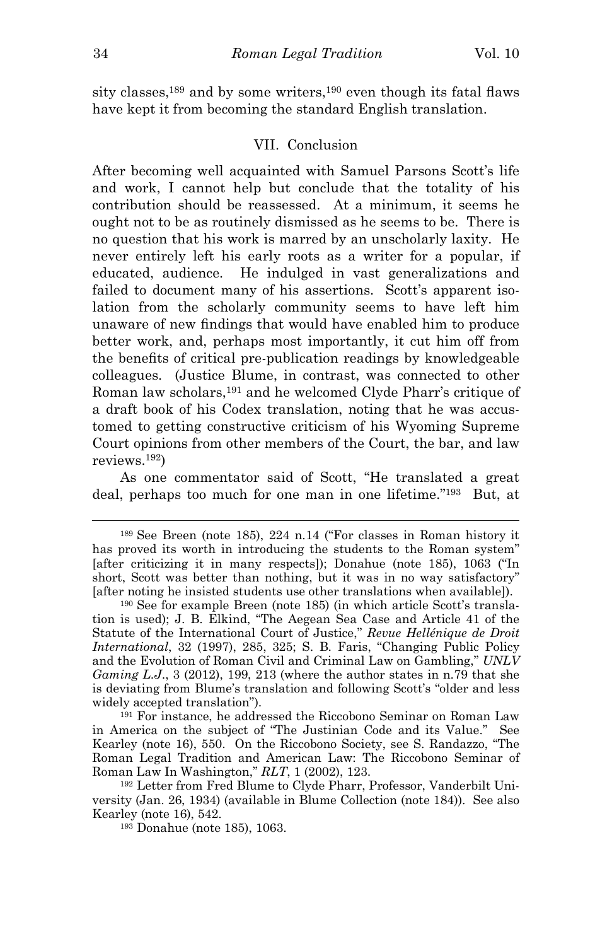sity classes,<sup>189</sup> and by some writers,<sup>190</sup> even though its fatal flaws have kept it from becoming the standard English translation.

#### VII. Conclusion

After becoming well acquainted with Samuel Parsons Scott's life and work, I cannot help but conclude that the totality of his contribution should be reassessed. At a minimum, it seems he ought not to be as routinely dismissed as he seems to be. There is no question that his work is marred by an unscholarly laxity. He never entirely left his early roots as a writer for a popular, if educated, audience. He indulged in vast generalizations and failed to document many of his assertions. Scott's apparent isolation from the scholarly community seems to have left him unaware of new findings that would have enabled him to produce better work, and, perhaps most importantly, it cut him off from the benefits of critical pre-publication readings by knowledgeable colleagues. (Justice Blume, in contrast, was connected to other Roman law scholars,<sup>191</sup> and he welcomed Clyde Pharr's critique of a draft book of his Codex translation, noting that he was accustomed to getting constructive criticism of his Wyoming Supreme Court opinions from other members of the Court, the bar, and law reviews.<sup>192</sup>)

As one commentator said of Scott, "He translated a great deal, perhaps too much for one man in one lifetime." <sup>193</sup> But, at

<sup>191</sup> For instance, he addressed the Riccobono Seminar on Roman Law in America on the subject of "The Justinian Code and its Value." See Kearley (note 16), 550. On the Riccobono Society, see S. Randazzo, "The Roman Legal Tradition and American Law: The Riccobono Seminar of Roman Law In Washington," *RLT*, 1 (2002), 123.

192 Letter from Fred Blume to Clyde Pharr, Professor, Vanderbilt University (Jan. 26, 1934) (available in Blume Collection (note 184)). See also Kearley (note 16), 542.

193 Donahue (note 185), 1063.

<sup>189</sup> See Breen (note 185), 224 n.14 ("For classes in Roman history it has proved its worth in introducing the students to the Roman system" [after criticizing it in many respects]); Donahue (note 185), 1063 ("In short, Scott was better than nothing, but it was in no way satisfactory" [after noting he insisted students use other translations when available]).

<sup>190</sup> See for example Breen (note 185) (in which article Scott's translation is used); J. B. Elkind, "The Aegean Sea Case and Article 41 of the Statute of the International Court of Justice," *Revue Hellénique de Droit International*, 32 (1997), 285, 325; S. B. Faris, "Changing Public Policy and the Evolution of Roman Civil and Criminal Law on Gambling," *UNLV Gaming L.J*., 3 (2012), 199, 213 (where the author states in n.79 that she is deviating from Blume's translation and following Scott's "older and less widely accepted translation").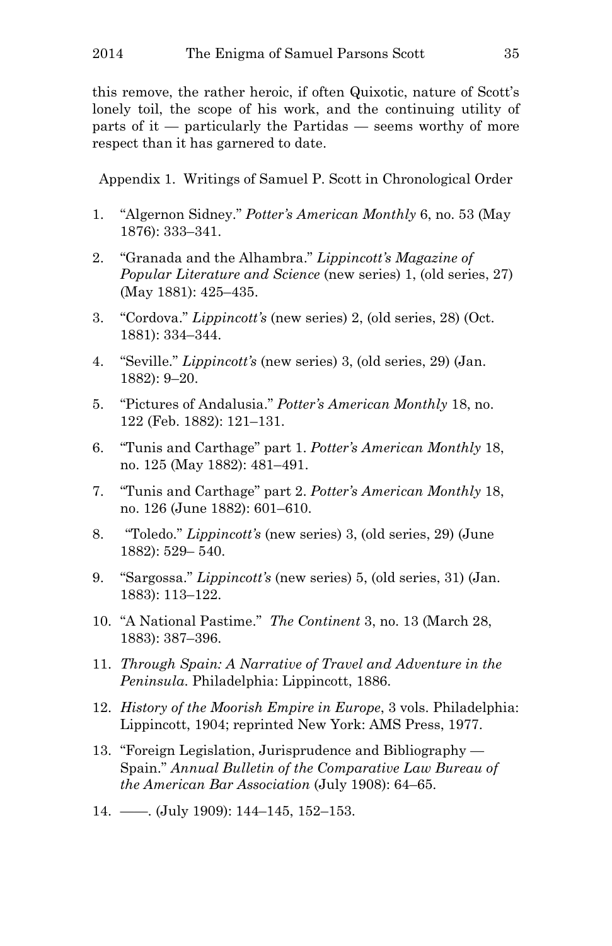this remove, the rather heroic, if often Quixotic, nature of Scott's lonely toil, the scope of his work, and the continuing utility of parts of it — particularly the Partidas — seems worthy of more respect than it has garnered to date.

Appendix 1. Writings of Samuel P. Scott in Chronological Order

- 1. "Algernon Sidney." *Potter's American Monthly* 6, no. 53 (May 1876): 333–341.
- 2. "Granada and the Alhambra." *Lippincott's Magazine of Popular Literature and Science* (new series) 1, (old series, 27) (May 1881): 425–435.
- 3. "Cordova." *Lippincott's* (new series) 2, (old series, 28) (Oct. 1881): 334–344.
- 4. "Seville." *Lippincott's* (new series) 3, (old series, 29) (Jan. 1882): 9–20.
- 5. "Pictures of Andalusia." *Potter's American Monthly* 18, no. 122 (Feb. 1882): 121–131.
- 6. "Tunis and Carthage" part 1. *Potter's American Monthly* 18, no. 125 (May 1882): 481–491.
- 7. "Tunis and Carthage" part 2. *Potter's American Monthly* 18, no. 126 (June 1882): 601–610.
- 8. "Toledo." *Lippincott's* (new series) 3, (old series, 29) (June 1882): 529– 540.
- 9. "Sargossa." *Lippincott's* (new series) 5, (old series, 31) (Jan. 1883): 113–122.
- 10. "A National Pastime." *The Continent* 3, no. 13 (March 28, 1883): 387–396.
- 11. *Through Spain: A Narrative of Travel and Adventure in the Peninsula*. Philadelphia: Lippincott, 1886.
- 12. *History of the Moorish Empire in Europe*, 3 vols. Philadelphia: Lippincott, 1904; reprinted New York: AMS Press, 1977.
- 13. "Foreign Legislation, Jurisprudence and Bibliography Spain." *Annual Bulletin of the Comparative Law Bureau of the American Bar Association* (July 1908): 64–65.
- 14. ——. (July 1909): 144–145, 152–153.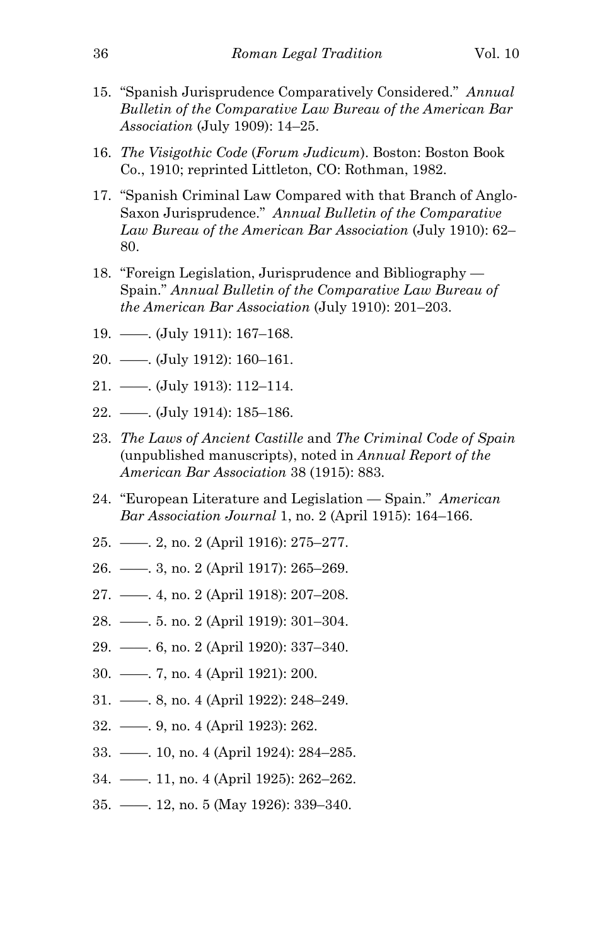- 15. "Spanish Jurisprudence Comparatively Considered." *Annual Bulletin of the Comparative Law Bureau of the American Bar Association* (July 1909): 14–25.
- 16. *The Visigothic Code* (*Forum Judicum*). Boston: Boston Book Co., 1910; reprinted Littleton, CO: Rothman, 1982.
- 17. "Spanish Criminal Law Compared with that Branch of Anglo-Saxon Jurisprudence." *Annual Bulletin of the Comparative Law Bureau of the American Bar Association* (July 1910): 62– 80.
- 18. "Foreign Legislation, Jurisprudence and Bibliography Spain." *Annual Bulletin of the Comparative Law Bureau of the American Bar Association* (July 1910): 201–203.
- 19. ——. (July 1911): 167–168.
- 20. ——. (July 1912): 160–161.
- 21. ——. (July 1913): 112–114.
- 22. ——. (July 1914): 185–186.
- 23. *The Laws of Ancient Castille* and *The Criminal Code of Spain* (unpublished manuscripts), noted in *Annual Report of the American Bar Association* 38 (1915): 883.
- 24. "European Literature and Legislation Spain." *American Bar Association Journal* 1, no. 2 (April 1915): 164–166.
- 25. ——. 2, no. 2 (April 1916): 275–277.
- 26. ——. 3, no. 2 (April 1917): 265–269.
- 27. ——. 4, no. 2 (April 1918): 207–208.
- 28. ——. 5. no. 2 (April 1919): 301–304.
- 29. ——. 6, no. 2 (April 1920): 337–340.
- 30. ——. 7, no. 4 (April 1921): 200.
- 31. ——. 8, no. 4 (April 1922): 248–249.
- 32. ——. 9, no. 4 (April 1923): 262.
- 33. ——. 10, no. 4 (April 1924): 284–285.
- 34. ——. 11, no. 4 (April 1925): 262–262.
- 35. ——. 12, no. 5 (May 1926): 339–340.